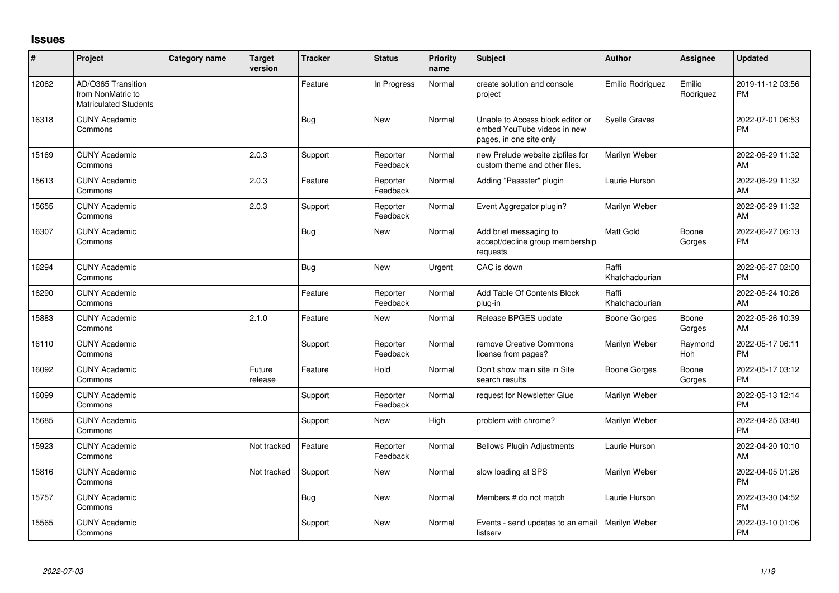## **Issues**

| ∦     | Project                                                                 | Category name | <b>Target</b><br>version | <b>Tracker</b> | <b>Status</b>        | Priority<br>name | <b>Subject</b>                                                                             | Author                  | <b>Assignee</b>     | <b>Updated</b>                |
|-------|-------------------------------------------------------------------------|---------------|--------------------------|----------------|----------------------|------------------|--------------------------------------------------------------------------------------------|-------------------------|---------------------|-------------------------------|
| 12062 | AD/O365 Transition<br>from NonMatric to<br><b>Matriculated Students</b> |               |                          | Feature        | In Progress          | Normal           | create solution and console<br>project                                                     | Emilio Rodriguez        | Emilio<br>Rodriguez | 2019-11-12 03:56<br><b>PM</b> |
| 16318 | <b>CUNY Academic</b><br>Commons                                         |               |                          | <b>Bug</b>     | <b>New</b>           | Normal           | Unable to Access block editor or<br>embed YouTube videos in new<br>pages, in one site only | <b>Syelle Graves</b>    |                     | 2022-07-01 06:53<br><b>PM</b> |
| 15169 | <b>CUNY Academic</b><br>Commons                                         |               | 2.0.3                    | Support        | Reporter<br>Feedback | Normal           | new Prelude website zipfiles for<br>custom theme and other files.                          | Marilyn Weber           |                     | 2022-06-29 11:32<br>AM        |
| 15613 | <b>CUNY Academic</b><br>Commons                                         |               | 2.0.3                    | Feature        | Reporter<br>Feedback | Normal           | Adding "Passster" plugin                                                                   | Laurie Hurson           |                     | 2022-06-29 11:32<br>AM        |
| 15655 | <b>CUNY Academic</b><br>Commons                                         |               | 2.0.3                    | Support        | Reporter<br>Feedback | Normal           | Event Aggregator plugin?                                                                   | Marilyn Weber           |                     | 2022-06-29 11:32<br>AM        |
| 16307 | <b>CUNY Academic</b><br>Commons                                         |               |                          | <b>Bug</b>     | <b>New</b>           | Normal           | Add brief messaging to<br>accept/decline group membership<br>requests                      | <b>Matt Gold</b>        | Boone<br>Gorges     | 2022-06-27 06:13<br><b>PM</b> |
| 16294 | <b>CUNY Academic</b><br>Commons                                         |               |                          | <b>Bug</b>     | <b>New</b>           | Urgent           | CAC is down                                                                                | Raffi<br>Khatchadourian |                     | 2022-06-27 02:00<br><b>PM</b> |
| 16290 | <b>CUNY Academic</b><br>Commons                                         |               |                          | Feature        | Reporter<br>Feedback | Normal           | Add Table Of Contents Block<br>plug-in                                                     | Raffi<br>Khatchadourian |                     | 2022-06-24 10:26<br>AM        |
| 15883 | <b>CUNY Academic</b><br>Commons                                         |               | 2.1.0                    | Feature        | <b>New</b>           | Normal           | Release BPGES update                                                                       | Boone Gorges            | Boone<br>Gorges     | 2022-05-26 10:39<br>AM        |
| 16110 | <b>CUNY Academic</b><br>Commons                                         |               |                          | Support        | Reporter<br>Feedback | Normal           | remove Creative Commons<br>license from pages?                                             | Marilyn Weber           | Raymond<br>Hoh      | 2022-05-17 06:11<br><b>PM</b> |
| 16092 | <b>CUNY Academic</b><br>Commons                                         |               | Future<br>release        | Feature        | Hold                 | Normal           | Don't show main site in Site<br>search results                                             | Boone Gorges            | Boone<br>Gorges     | 2022-05-17 03:12<br><b>PM</b> |
| 16099 | <b>CUNY Academic</b><br>Commons                                         |               |                          | Support        | Reporter<br>Feedback | Normal           | request for Newsletter Glue                                                                | Marilyn Weber           |                     | 2022-05-13 12:14<br><b>PM</b> |
| 15685 | <b>CUNY Academic</b><br>Commons                                         |               |                          | Support        | <b>New</b>           | High             | problem with chrome?                                                                       | Marilyn Weber           |                     | 2022-04-25 03:40<br><b>PM</b> |
| 15923 | <b>CUNY Academic</b><br>Commons                                         |               | Not tracked              | Feature        | Reporter<br>Feedback | Normal           | <b>Bellows Plugin Adjustments</b>                                                          | Laurie Hurson           |                     | 2022-04-20 10:10<br>AM        |
| 15816 | <b>CUNY Academic</b><br>Commons                                         |               | Not tracked              | Support        | <b>New</b>           | Normal           | slow loading at SPS                                                                        | Marilyn Weber           |                     | 2022-04-05 01:26<br><b>PM</b> |
| 15757 | <b>CUNY Academic</b><br>Commons                                         |               |                          | Bug            | <b>New</b>           | Normal           | Members # do not match                                                                     | Laurie Hurson           |                     | 2022-03-30 04:52<br><b>PM</b> |
| 15565 | <b>CUNY Academic</b><br>Commons                                         |               |                          | Support        | <b>New</b>           | Normal           | Events - send updates to an email<br>listserv                                              | Marilyn Weber           |                     | 2022-03-10 01:06<br>PM        |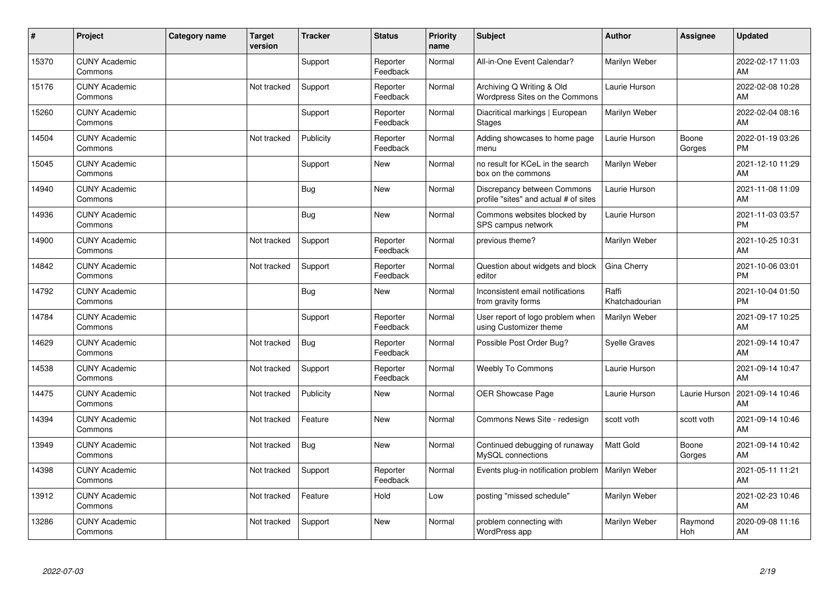| ∦     | Project                         | <b>Category name</b> | <b>Target</b><br>version | <b>Tracker</b> | <b>Status</b>        | <b>Priority</b><br>name | <b>Subject</b>                                                       | <b>Author</b>           | Assignee        | <b>Updated</b>                |
|-------|---------------------------------|----------------------|--------------------------|----------------|----------------------|-------------------------|----------------------------------------------------------------------|-------------------------|-----------------|-------------------------------|
| 15370 | <b>CUNY Academic</b><br>Commons |                      |                          | Support        | Reporter<br>Feedback | Normal                  | All-in-One Event Calendar?                                           | Marilyn Weber           |                 | 2022-02-17 11:03<br>AM        |
| 15176 | <b>CUNY Academic</b><br>Commons |                      | Not tracked              | Support        | Reporter<br>Feedback | Normal                  | Archiving Q Writing & Old<br>Wordpress Sites on the Commons          | Laurie Hurson           |                 | 2022-02-08 10:28<br>AM        |
| 15260 | <b>CUNY Academic</b><br>Commons |                      |                          | Support        | Reporter<br>Feedback | Normal                  | Diacritical markings   European<br><b>Stages</b>                     | Marilyn Weber           |                 | 2022-02-04 08:16<br>AM        |
| 14504 | <b>CUNY Academic</b><br>Commons |                      | Not tracked              | Publicity      | Reporter<br>Feedback | Normal                  | Adding showcases to home page<br>menu                                | Laurie Hurson           | Boone<br>Gorges | 2022-01-19 03:26<br><b>PM</b> |
| 15045 | <b>CUNY Academic</b><br>Commons |                      |                          | Support        | <b>New</b>           | Normal                  | no result for KCeL in the search<br>box on the commons               | Marilyn Weber           |                 | 2021-12-10 11:29<br>AM        |
| 14940 | <b>CUNY Academic</b><br>Commons |                      |                          | <b>Bug</b>     | <b>New</b>           | Normal                  | Discrepancy between Commons<br>profile "sites" and actual # of sites | Laurie Hurson           |                 | 2021-11-08 11:09<br>AM        |
| 14936 | <b>CUNY Academic</b><br>Commons |                      |                          | <b>Bug</b>     | <b>New</b>           | Normal                  | Commons websites blocked by<br>SPS campus network                    | Laurie Hurson           |                 | 2021-11-03 03:57<br><b>PM</b> |
| 14900 | <b>CUNY Academic</b><br>Commons |                      | Not tracked              | Support        | Reporter<br>Feedback | Normal                  | previous theme?                                                      | Marilyn Weber           |                 | 2021-10-25 10:31<br>AM        |
| 14842 | <b>CUNY Academic</b><br>Commons |                      | Not tracked              | Support        | Reporter<br>Feedback | Normal                  | Question about widgets and block<br>editor                           | Gina Cherry             |                 | 2021-10-06 03:01<br><b>PM</b> |
| 14792 | <b>CUNY Academic</b><br>Commons |                      |                          | Bug            | <b>New</b>           | Normal                  | Inconsistent email notifications<br>from gravity forms               | Raffi<br>Khatchadourian |                 | 2021-10-04 01:50<br><b>PM</b> |
| 14784 | <b>CUNY Academic</b><br>Commons |                      |                          | Support        | Reporter<br>Feedback | Normal                  | User report of logo problem when<br>using Customizer theme           | Marilyn Weber           |                 | 2021-09-17 10:25<br>AM        |
| 14629 | <b>CUNY Academic</b><br>Commons |                      | Not tracked              | Bug            | Reporter<br>Feedback | Normal                  | Possible Post Order Bug?                                             | <b>Syelle Graves</b>    |                 | 2021-09-14 10:47<br>AM        |
| 14538 | <b>CUNY Academic</b><br>Commons |                      | Not tracked              | Support        | Reporter<br>Feedback | Normal                  | <b>Weebly To Commons</b>                                             | Laurie Hurson           |                 | 2021-09-14 10:47<br>AM        |
| 14475 | <b>CUNY Academic</b><br>Commons |                      | Not tracked              | Publicity      | <b>New</b>           | Normal                  | <b>OER Showcase Page</b>                                             | Laurie Hurson           | Laurie Hurson   | 2021-09-14 10:46<br>AM        |
| 14394 | <b>CUNY Academic</b><br>Commons |                      | Not tracked              | Feature        | <b>New</b>           | Normal                  | Commons News Site - redesign                                         | scott voth              | scott voth      | 2021-09-14 10:46<br>AM        |
| 13949 | <b>CUNY Academic</b><br>Commons |                      | Not tracked              | Bug            | <b>New</b>           | Normal                  | Continued debugging of runaway<br>MySQL connections                  | Matt Gold               | Boone<br>Gorges | 2021-09-14 10:42<br>AM        |
| 14398 | <b>CUNY Academic</b><br>Commons |                      | Not tracked              | Support        | Reporter<br>Feedback | Normal                  | Events plug-in notification problem                                  | Marilyn Weber           |                 | 2021-05-11 11:21<br>AM        |
| 13912 | <b>CUNY Academic</b><br>Commons |                      | Not tracked              | Feature        | Hold                 | Low                     | posting "missed schedule"                                            | Marilyn Weber           |                 | 2021-02-23 10:46<br>AM        |
| 13286 | <b>CUNY Academic</b><br>Commons |                      | Not tracked              | Support        | <b>New</b>           | Normal                  | problem connecting with<br>WordPress app                             | Marilyn Weber           | Raymond<br>Hoh  | 2020-09-08 11:16<br>AM        |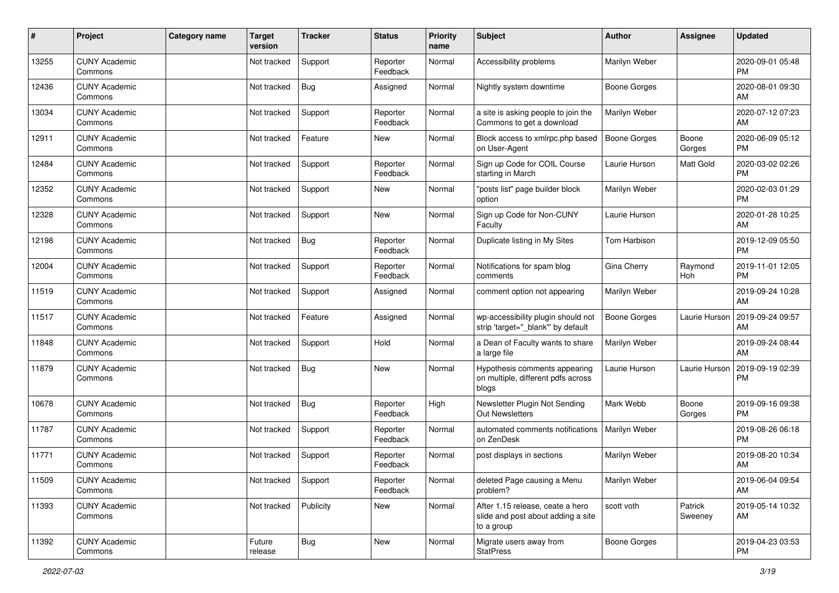| #     | Project                         | <b>Category name</b> | <b>Target</b><br>version | <b>Tracker</b> | <b>Status</b>        | Priority<br>name | <b>Subject</b>                                                                       | <b>Author</b>       | <b>Assignee</b>    | <b>Updated</b>                |
|-------|---------------------------------|----------------------|--------------------------|----------------|----------------------|------------------|--------------------------------------------------------------------------------------|---------------------|--------------------|-------------------------------|
| 13255 | <b>CUNY Academic</b><br>Commons |                      | Not tracked              | Support        | Reporter<br>Feedback | Normal           | Accessibility problems                                                               | Marilyn Weber       |                    | 2020-09-01 05:48<br>PM.       |
| 12436 | <b>CUNY Academic</b><br>Commons |                      | Not tracked              | <b>Bug</b>     | Assigned             | Normal           | Nightly system downtime                                                              | <b>Boone Gorges</b> |                    | 2020-08-01 09:30<br>AM        |
| 13034 | <b>CUNY Academic</b><br>Commons |                      | Not tracked              | Support        | Reporter<br>Feedback | Normal           | a site is asking people to join the<br>Commons to get a download                     | Marilyn Weber       |                    | 2020-07-12 07:23<br>AM        |
| 12911 | <b>CUNY Academic</b><br>Commons |                      | Not tracked              | Feature        | New                  | Normal           | Block access to xmlrpc.php based<br>on User-Agent                                    | <b>Boone Gorges</b> | Boone<br>Gorges    | 2020-06-09 05:12<br><b>PM</b> |
| 12484 | <b>CUNY Academic</b><br>Commons |                      | Not tracked              | Support        | Reporter<br>Feedback | Normal           | Sign up Code for COIL Course<br>starting in March                                    | Laurie Hurson       | Matt Gold          | 2020-03-02 02:26<br><b>PM</b> |
| 12352 | <b>CUNY Academic</b><br>Commons |                      | Not tracked              | Support        | New                  | Normal           | "posts list" page builder block<br>option                                            | Marilyn Weber       |                    | 2020-02-03 01:29<br><b>PM</b> |
| 12328 | <b>CUNY Academic</b><br>Commons |                      | Not tracked              | Support        | <b>New</b>           | Normal           | Sign up Code for Non-CUNY<br>Faculty                                                 | Laurie Hurson       |                    | 2020-01-28 10:25<br>AM        |
| 12198 | <b>CUNY Academic</b><br>Commons |                      | Not tracked              | <b>Bug</b>     | Reporter<br>Feedback | Normal           | Duplicate listing in My Sites                                                        | Tom Harbison        |                    | 2019-12-09 05:50<br><b>PM</b> |
| 12004 | <b>CUNY Academic</b><br>Commons |                      | Not tracked              | Support        | Reporter<br>Feedback | Normal           | Notifications for spam blog<br>comments                                              | Gina Cherry         | Raymond<br>Hoh     | 2019-11-01 12:05<br><b>PM</b> |
| 11519 | <b>CUNY Academic</b><br>Commons |                      | Not tracked              | Support        | Assigned             | Normal           | comment option not appearing                                                         | Marilyn Weber       |                    | 2019-09-24 10:28<br>AM        |
| 11517 | <b>CUNY Academic</b><br>Commons |                      | Not tracked              | Feature        | Assigned             | Normal           | wp-accessibility plugin should not<br>strip 'target="_blank"' by default             | Boone Gorges        | Laurie Hurson      | 2019-09-24 09:57<br>AM        |
| 11848 | <b>CUNY Academic</b><br>Commons |                      | Not tracked              | Support        | Hold                 | Normal           | a Dean of Faculty wants to share<br>a large file                                     | Marilyn Weber       |                    | 2019-09-24 08:44<br>AM        |
| 11879 | <b>CUNY Academic</b><br>Commons |                      | Not tracked              | Bug            | New                  | Normal           | Hypothesis comments appearing<br>on multiple, different pdfs across<br>blogs         | Laurie Hurson       | Laurie Hurson      | 2019-09-19 02:39<br>PM        |
| 10678 | <b>CUNY Academic</b><br>Commons |                      | Not tracked              | Bug            | Reporter<br>Feedback | High             | Newsletter Plugin Not Sending<br><b>Out Newsletters</b>                              | Mark Webb           | Boone<br>Gorges    | 2019-09-16 09:38<br><b>PM</b> |
| 11787 | <b>CUNY Academic</b><br>Commons |                      | Not tracked              | Support        | Reporter<br>Feedback | Normal           | automated comments notifications<br>on ZenDesk                                       | Marilyn Weber       |                    | 2019-08-26 06:18<br><b>PM</b> |
| 11771 | <b>CUNY Academic</b><br>Commons |                      | Not tracked              | Support        | Reporter<br>Feedback | Normal           | post displays in sections                                                            | Marilyn Weber       |                    | 2019-08-20 10:34<br>AM        |
| 11509 | <b>CUNY Academic</b><br>Commons |                      | Not tracked              | Support        | Reporter<br>Feedback | Normal           | deleted Page causing a Menu<br>problem?                                              | Marilyn Weber       |                    | 2019-06-04 09:54<br>AM        |
| 11393 | <b>CUNY Academic</b><br>Commons |                      | Not tracked              | Publicity      | New                  | Normal           | After 1.15 release, ceate a hero<br>slide and post about adding a site<br>to a group | scott voth          | Patrick<br>Sweeney | 2019-05-14 10:32<br>AM        |
| 11392 | <b>CUNY Academic</b><br>Commons |                      | Future<br>release        | <b>Bug</b>     | New                  | Normal           | Migrate users away from<br><b>StatPress</b>                                          | Boone Gorges        |                    | 2019-04-23 03:53<br><b>PM</b> |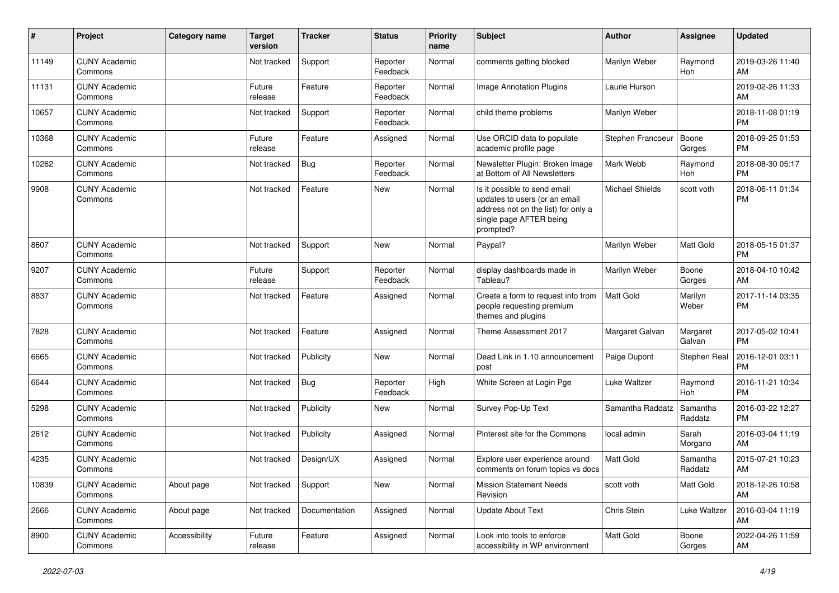| $\pmb{\#}$ | Project                         | <b>Category name</b> | <b>Target</b><br>version | <b>Tracker</b> | <b>Status</b>        | <b>Priority</b><br>name | Subject                                                                                                                                      | Author            | <b>Assignee</b>     | <b>Updated</b>                |
|------------|---------------------------------|----------------------|--------------------------|----------------|----------------------|-------------------------|----------------------------------------------------------------------------------------------------------------------------------------------|-------------------|---------------------|-------------------------------|
| 11149      | <b>CUNY Academic</b><br>Commons |                      | Not tracked              | Support        | Reporter<br>Feedback | Normal                  | comments getting blocked                                                                                                                     | Marilyn Weber     | Raymond<br>Hoh      | 2019-03-26 11:40<br>AM        |
| 11131      | <b>CUNY Academic</b><br>Commons |                      | Future<br>release        | Feature        | Reporter<br>Feedback | Normal                  | Image Annotation Plugins                                                                                                                     | Laurie Hurson     |                     | 2019-02-26 11:33<br>AM        |
| 10657      | <b>CUNY Academic</b><br>Commons |                      | Not tracked              | Support        | Reporter<br>Feedback | Normal                  | child theme problems                                                                                                                         | Marilyn Weber     |                     | 2018-11-08 01:19<br><b>PM</b> |
| 10368      | <b>CUNY Academic</b><br>Commons |                      | Future<br>release        | Feature        | Assigned             | Normal                  | Use ORCID data to populate<br>academic profile page                                                                                          | Stephen Francoeur | Boone<br>Gorges     | 2018-09-25 01:53<br><b>PM</b> |
| 10262      | <b>CUNY Academic</b><br>Commons |                      | Not tracked              | <b>Bug</b>     | Reporter<br>Feedback | Normal                  | Newsletter Plugin: Broken Image<br>at Bottom of All Newsletters                                                                              | Mark Webb         | Raymond<br>Hoh      | 2018-08-30 05:17<br><b>PM</b> |
| 9908       | <b>CUNY Academic</b><br>Commons |                      | Not tracked              | Feature        | New                  | Normal                  | Is it possible to send email<br>updates to users (or an email<br>address not on the list) for only a<br>single page AFTER being<br>prompted? | Michael Shields   | scott voth          | 2018-06-11 01:34<br><b>PM</b> |
| 8607       | <b>CUNY Academic</b><br>Commons |                      | Not tracked              | Support        | New                  | Normal                  | Paypal?                                                                                                                                      | Marilyn Weber     | Matt Gold           | 2018-05-15 01:37<br><b>PM</b> |
| 9207       | <b>CUNY Academic</b><br>Commons |                      | Future<br>release        | Support        | Reporter<br>Feedback | Normal                  | display dashboards made in<br>Tableau?                                                                                                       | Marilyn Weber     | Boone<br>Gorges     | 2018-04-10 10:42<br>AM        |
| 8837       | <b>CUNY Academic</b><br>Commons |                      | Not tracked              | Feature        | Assigned             | Normal                  | Create a form to request info from<br>people requesting premium<br>themes and plugins                                                        | Matt Gold         | Marilyn<br>Weber    | 2017-11-14 03:35<br><b>PM</b> |
| 7828       | <b>CUNY Academic</b><br>Commons |                      | Not tracked              | Feature        | Assigned             | Normal                  | Theme Assessment 2017                                                                                                                        | Margaret Galvan   | Margaret<br>Galvan  | 2017-05-02 10:41<br><b>PM</b> |
| 6665       | <b>CUNY Academic</b><br>Commons |                      | Not tracked              | Publicity      | <b>New</b>           | Normal                  | Dead Link in 1.10 announcement<br>post                                                                                                       | Paige Dupont      | Stephen Real        | 2016-12-01 03:11<br><b>PM</b> |
| 6644       | <b>CUNY Academic</b><br>Commons |                      | Not tracked              | <b>Bug</b>     | Reporter<br>Feedback | High                    | White Screen at Login Pge                                                                                                                    | Luke Waltzer      | Raymond<br>Hoh      | 2016-11-21 10:34<br><b>PM</b> |
| 5298       | <b>CUNY Academic</b><br>Commons |                      | Not tracked              | Publicity      | <b>New</b>           | Normal                  | Survey Pop-Up Text                                                                                                                           | Samantha Raddatz  | Samantha<br>Raddatz | 2016-03-22 12:27<br><b>PM</b> |
| 2612       | <b>CUNY Academic</b><br>Commons |                      | Not tracked              | Publicity      | Assigned             | Normal                  | Pinterest site for the Commons                                                                                                               | local admin       | Sarah<br>Morgano    | 2016-03-04 11:19<br>AM        |
| 4235       | <b>CUNY Academic</b><br>Commons |                      | Not tracked              | Design/UX      | Assigned             | Normal                  | Explore user experience around<br>comments on forum topics vs docs                                                                           | <b>Matt Gold</b>  | Samantha<br>Raddatz | 2015-07-21 10:23<br>AM        |
| 10839      | <b>CUNY Academic</b><br>Commons | About page           | Not tracked              | Support        | <b>New</b>           | Normal                  | <b>Mission Statement Needs</b><br>Revision                                                                                                   | scott voth        | Matt Gold           | 2018-12-26 10:58<br>AM        |
| 2666       | <b>CUNY Academic</b><br>Commons | About page           | Not tracked              | Documentation  | Assigned             | Normal                  | <b>Update About Text</b>                                                                                                                     | Chris Stein       | Luke Waltzer        | 2016-03-04 11:19<br>AM        |
| 8900       | <b>CUNY Academic</b><br>Commons | Accessibility        | Future<br>release        | Feature        | Assigned             | Normal                  | Look into tools to enforce<br>accessibility in WP environment                                                                                | Matt Gold         | Boone<br>Gorges     | 2022-04-26 11:59<br>AM        |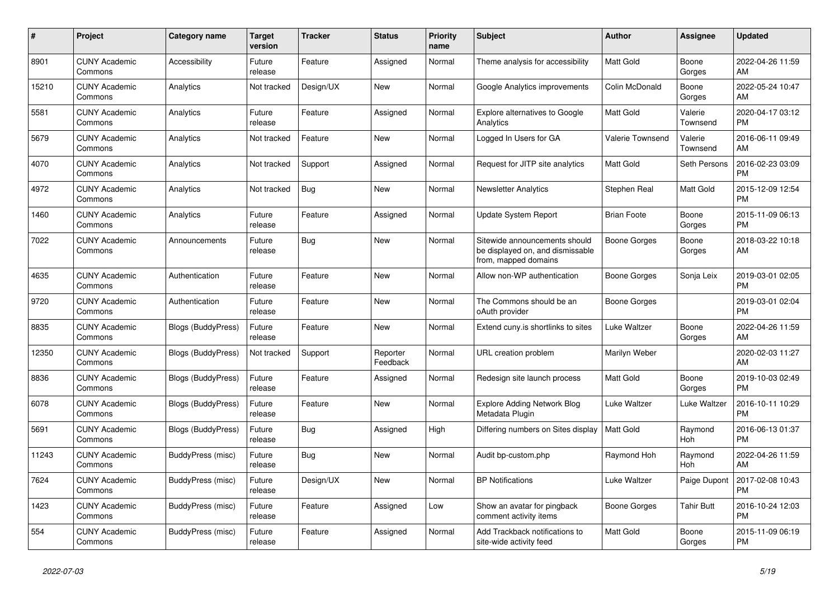| $\#$  | <b>Project</b>                  | <b>Category name</b>      | <b>Target</b><br>version | <b>Tracker</b> | <b>Status</b>        | <b>Priority</b><br>name | <b>Subject</b>                                                                            | <b>Author</b>      | Assignee            | <b>Updated</b>                |
|-------|---------------------------------|---------------------------|--------------------------|----------------|----------------------|-------------------------|-------------------------------------------------------------------------------------------|--------------------|---------------------|-------------------------------|
| 8901  | <b>CUNY Academic</b><br>Commons | Accessibility             | Future<br>release        | Feature        | Assigned             | Normal                  | Theme analysis for accessibility                                                          | <b>Matt Gold</b>   | Boone<br>Gorges     | 2022-04-26 11:59<br>AM        |
| 15210 | <b>CUNY Academic</b><br>Commons | Analytics                 | Not tracked              | Design/UX      | New                  | Normal                  | Google Analytics improvements                                                             | Colin McDonald     | Boone<br>Gorges     | 2022-05-24 10:47<br>AM        |
| 5581  | <b>CUNY Academic</b><br>Commons | Analytics                 | Future<br>release        | Feature        | Assigned             | Normal                  | Explore alternatives to Google<br>Analytics                                               | Matt Gold          | Valerie<br>Townsend | 2020-04-17 03:12<br><b>PM</b> |
| 5679  | <b>CUNY Academic</b><br>Commons | Analytics                 | Not tracked              | Feature        | <b>New</b>           | Normal                  | Logged In Users for GA                                                                    | Valerie Townsend   | Valerie<br>Townsend | 2016-06-11 09:49<br>AM        |
| 4070  | <b>CUNY Academic</b><br>Commons | Analytics                 | Not tracked              | Support        | Assigned             | Normal                  | Request for JITP site analytics                                                           | Matt Gold          | Seth Persons        | 2016-02-23 03:09<br><b>PM</b> |
| 4972  | <b>CUNY Academic</b><br>Commons | Analytics                 | Not tracked              | Bug            | New                  | Normal                  | <b>Newsletter Analytics</b>                                                               | Stephen Real       | Matt Gold           | 2015-12-09 12:54<br><b>PM</b> |
| 1460  | <b>CUNY Academic</b><br>Commons | Analytics                 | Future<br>release        | Feature        | Assigned             | Normal                  | <b>Update System Report</b>                                                               | <b>Brian Foote</b> | Boone<br>Gorges     | 2015-11-09 06:13<br><b>PM</b> |
| 7022  | <b>CUNY Academic</b><br>Commons | Announcements             | Future<br>release        | Bug            | <b>New</b>           | Normal                  | Sitewide announcements should<br>be displayed on, and dismissable<br>from, mapped domains | Boone Gorges       | Boone<br>Gorges     | 2018-03-22 10:18<br>AM        |
| 4635  | <b>CUNY Academic</b><br>Commons | Authentication            | Future<br>release        | Feature        | <b>New</b>           | Normal                  | Allow non-WP authentication                                                               | Boone Gorges       | Sonja Leix          | 2019-03-01 02:05<br><b>PM</b> |
| 9720  | <b>CUNY Academic</b><br>Commons | Authentication            | Future<br>release        | Feature        | <b>New</b>           | Normal                  | The Commons should be an<br>oAuth provider                                                | Boone Gorges       |                     | 2019-03-01 02:04<br><b>PM</b> |
| 8835  | <b>CUNY Academic</b><br>Commons | <b>Blogs (BuddyPress)</b> | Future<br>release        | Feature        | New                  | Normal                  | Extend cuny is shortlinks to sites                                                        | Luke Waltzer       | Boone<br>Gorges     | 2022-04-26 11:59<br>AM        |
| 12350 | <b>CUNY Academic</b><br>Commons | <b>Blogs (BuddyPress)</b> | Not tracked              | Support        | Reporter<br>Feedback | Normal                  | URL creation problem                                                                      | Marilyn Weber      |                     | 2020-02-03 11:27<br>AM        |
| 8836  | <b>CUNY Academic</b><br>Commons | <b>Blogs (BuddyPress)</b> | Future<br>release        | Feature        | Assigned             | Normal                  | Redesign site launch process                                                              | Matt Gold          | Boone<br>Gorges     | 2019-10-03 02:49<br><b>PM</b> |
| 6078  | <b>CUNY Academic</b><br>Commons | <b>Blogs (BuddyPress)</b> | Future<br>release        | Feature        | New                  | Normal                  | Explore Adding Network Blog<br>Metadata Plugin                                            | Luke Waltzer       | Luke Waltzer        | 2016-10-11 10:29<br><b>PM</b> |
| 5691  | <b>CUNY Academic</b><br>Commons | <b>Blogs (BuddyPress)</b> | Future<br>release        | Bug            | Assigned             | High                    | Differing numbers on Sites display                                                        | <b>Matt Gold</b>   | Raymond<br>Hoh      | 2016-06-13 01:37<br><b>PM</b> |
| 11243 | <b>CUNY Academic</b><br>Commons | BuddyPress (misc)         | Future<br>release        | Bug            | <b>New</b>           | Normal                  | Audit bp-custom.php                                                                       | Raymond Hoh        | Raymond<br>Hoh      | 2022-04-26 11:59<br>AM        |
| 7624  | <b>CUNY Academic</b><br>Commons | BuddyPress (misc)         | Future<br>release        | Design/UX      | <b>New</b>           | Normal                  | <b>BP Notifications</b>                                                                   | Luke Waltzer       | Paige Dupont        | 2017-02-08 10:43<br><b>PM</b> |
| 1423  | <b>CUNY Academic</b><br>Commons | BuddyPress (misc)         | Future<br>release        | Feature        | Assigned             | Low                     | Show an avatar for pingback<br>comment activity items                                     | Boone Gorges       | Tahir Butt          | 2016-10-24 12:03<br><b>PM</b> |
| 554   | <b>CUNY Academic</b><br>Commons | BuddyPress (misc)         | Future<br>release        | Feature        | Assigned             | Normal                  | Add Trackback notifications to<br>site-wide activity feed                                 | <b>Matt Gold</b>   | Boone<br>Gorges     | 2015-11-09 06:19<br><b>PM</b> |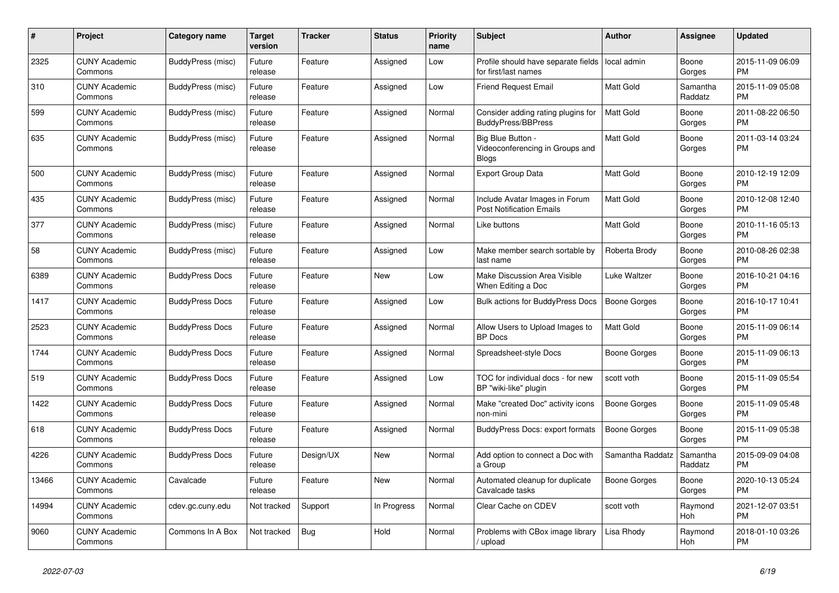| #     | <b>Project</b>                  | Category name          | Target<br>version | <b>Tracker</b> | <b>Status</b> | <b>Priority</b><br>name | <b>Subject</b>                                                       | <b>Author</b>       | Assignee            | <b>Updated</b>                |
|-------|---------------------------------|------------------------|-------------------|----------------|---------------|-------------------------|----------------------------------------------------------------------|---------------------|---------------------|-------------------------------|
| 2325  | <b>CUNY Academic</b><br>Commons | BuddyPress (misc)      | Future<br>release | Feature        | Assigned      | Low                     | Profile should have separate fields<br>for first/last names          | local admin         | Boone<br>Gorges     | 2015-11-09 06:09<br><b>PM</b> |
| 310   | <b>CUNY Academic</b><br>Commons | BuddyPress (misc)      | Future<br>release | Feature        | Assigned      | Low                     | Friend Request Email                                                 | Matt Gold           | Samantha<br>Raddatz | 2015-11-09 05:08<br><b>PM</b> |
| 599   | <b>CUNY Academic</b><br>Commons | BuddyPress (misc)      | Future<br>release | Feature        | Assigned      | Normal                  | Consider adding rating plugins for<br><b>BuddyPress/BBPress</b>      | <b>Matt Gold</b>    | Boone<br>Gorges     | 2011-08-22 06:50<br><b>PM</b> |
| 635   | <b>CUNY Academic</b><br>Commons | BuddyPress (misc)      | Future<br>release | Feature        | Assigned      | Normal                  | Big Blue Button -<br>Videoconferencing in Groups and<br><b>Blogs</b> | Matt Gold           | Boone<br>Gorges     | 2011-03-14 03:24<br><b>PM</b> |
| 500   | <b>CUNY Academic</b><br>Commons | BuddyPress (misc)      | Future<br>release | Feature        | Assigned      | Normal                  | <b>Export Group Data</b>                                             | Matt Gold           | Boone<br>Gorges     | 2010-12-19 12:09<br><b>PM</b> |
| 435   | <b>CUNY Academic</b><br>Commons | BuddyPress (misc)      | Future<br>release | Feature        | Assigned      | Normal                  | Include Avatar Images in Forum<br><b>Post Notification Emails</b>    | <b>Matt Gold</b>    | Boone<br>Gorges     | 2010-12-08 12:40<br><b>PM</b> |
| 377   | <b>CUNY Academic</b><br>Commons | BuddyPress (misc)      | Future<br>release | Feature        | Assigned      | Normal                  | Like buttons                                                         | Matt Gold           | Boone<br>Gorges     | 2010-11-16 05:13<br><b>PM</b> |
| 58    | <b>CUNY Academic</b><br>Commons | BuddyPress (misc)      | Future<br>release | Feature        | Assigned      | Low                     | Make member search sortable by<br>last name                          | Roberta Brody       | Boone<br>Gorges     | 2010-08-26 02:38<br><b>PM</b> |
| 6389  | <b>CUNY Academic</b><br>Commons | <b>BuddyPress Docs</b> | Future<br>release | Feature        | New           | Low                     | Make Discussion Area Visible<br>When Editing a Doc                   | Luke Waltzer        | Boone<br>Gorges     | 2016-10-21 04:16<br><b>PM</b> |
| 1417  | <b>CUNY Academic</b><br>Commons | <b>BuddyPress Docs</b> | Future<br>release | Feature        | Assigned      | Low                     | <b>Bulk actions for BuddyPress Docs</b>                              | <b>Boone Gorges</b> | Boone<br>Gorges     | 2016-10-17 10:41<br><b>PM</b> |
| 2523  | <b>CUNY Academic</b><br>Commons | <b>BuddyPress Docs</b> | Future<br>release | Feature        | Assigned      | Normal                  | Allow Users to Upload Images to<br><b>BP</b> Docs                    | Matt Gold           | Boone<br>Gorges     | 2015-11-09 06:14<br><b>PM</b> |
| 1744  | <b>CUNY Academic</b><br>Commons | <b>BuddyPress Docs</b> | Future<br>release | Feature        | Assigned      | Normal                  | Spreadsheet-style Docs                                               | Boone Gorges        | Boone<br>Gorges     | 2015-11-09 06:13<br><b>PM</b> |
| 519   | <b>CUNY Academic</b><br>Commons | <b>BuddyPress Docs</b> | Future<br>release | Feature        | Assigned      | Low                     | TOC for individual docs - for new<br>BP "wiki-like" plugin           | scott voth          | Boone<br>Gorges     | 2015-11-09 05:54<br><b>PM</b> |
| 1422  | <b>CUNY Academic</b><br>Commons | <b>BuddyPress Docs</b> | Future<br>release | Feature        | Assigned      | Normal                  | Make "created Doc" activity icons<br>non-mini                        | Boone Gorges        | Boone<br>Gorges     | 2015-11-09 05:48<br><b>PM</b> |
| 618   | <b>CUNY Academic</b><br>Commons | <b>BuddyPress Docs</b> | Future<br>release | Feature        | Assigned      | Normal                  | BuddyPress Docs: export formats                                      | Boone Gorges        | Boone<br>Gorges     | 2015-11-09 05:38<br><b>PM</b> |
| 4226  | <b>CUNY Academic</b><br>Commons | <b>BuddyPress Docs</b> | Future<br>release | Design/UX      | <b>New</b>    | Normal                  | Add option to connect a Doc with<br>a Group                          | Samantha Raddatz    | Samantha<br>Raddatz | 2015-09-09 04:08<br><b>PM</b> |
| 13466 | <b>CUNY Academic</b><br>Commons | Cavalcade              | Future<br>release | Feature        | <b>New</b>    | Normal                  | Automated cleanup for duplicate<br>Cavalcade tasks                   | Boone Gorges        | Boone<br>Gorges     | 2020-10-13 05:24<br><b>PM</b> |
| 14994 | <b>CUNY Academic</b><br>Commons | cdev.gc.cuny.edu       | Not tracked       | Support        | In Progress   | Normal                  | Clear Cache on CDEV                                                  | scott voth          | Raymond<br>Hoh      | 2021-12-07 03:51<br><b>PM</b> |
| 9060  | <b>CUNY Academic</b><br>Commons | Commons In A Box       | Not tracked       | <b>Bug</b>     | Hold          | Normal                  | Problems with CBox image library<br>/ upload                         | Lisa Rhody          | Raymond<br>Hoh      | 2018-01-10 03:26<br><b>PM</b> |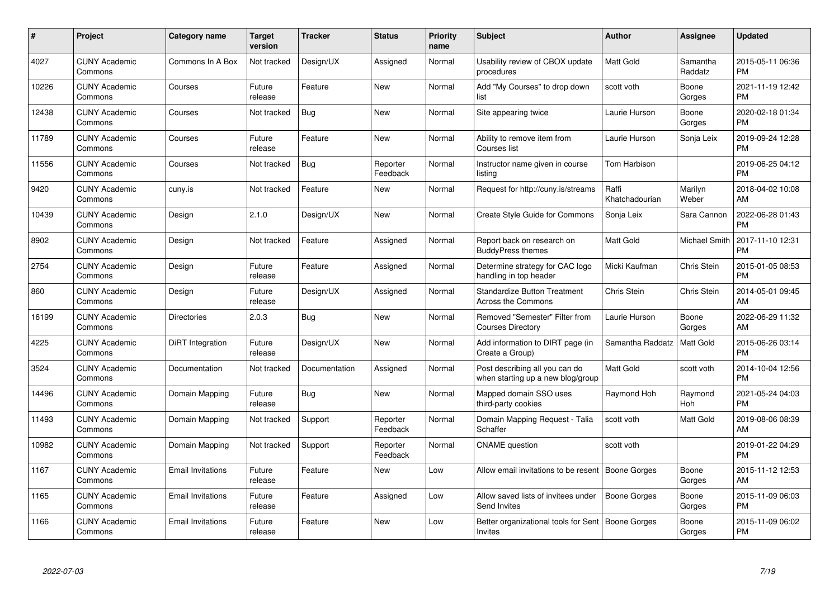| #     | <b>Project</b>                  | Category name            | <b>Target</b><br>version | <b>Tracker</b> | <b>Status</b>        | <b>Priority</b><br>name | <b>Subject</b>                                                      | <b>Author</b>           | Assignee            | <b>Updated</b>                |
|-------|---------------------------------|--------------------------|--------------------------|----------------|----------------------|-------------------------|---------------------------------------------------------------------|-------------------------|---------------------|-------------------------------|
| 4027  | <b>CUNY Academic</b><br>Commons | Commons In A Box         | Not tracked              | Design/UX      | Assigned             | Normal                  | Usability review of CBOX update<br>procedures                       | <b>Matt Gold</b>        | Samantha<br>Raddatz | 2015-05-11 06:36<br><b>PM</b> |
| 10226 | <b>CUNY Academic</b><br>Commons | Courses                  | Future<br>release        | Feature        | New                  | Normal                  | Add "My Courses" to drop down<br>list                               | scott voth              | Boone<br>Gorges     | 2021-11-19 12:42<br><b>PM</b> |
| 12438 | <b>CUNY Academic</b><br>Commons | Courses                  | Not tracked              | <b>Bug</b>     | <b>New</b>           | Normal                  | Site appearing twice                                                | Laurie Hurson           | Boone<br>Gorges     | 2020-02-18 01:34<br><b>PM</b> |
| 11789 | <b>CUNY Academic</b><br>Commons | Courses                  | Future<br>release        | Feature        | <b>New</b>           | Normal                  | Ability to remove item from<br>Courses list                         | Laurie Hurson           | Sonja Leix          | 2019-09-24 12:28<br><b>PM</b> |
| 11556 | <b>CUNY Academic</b><br>Commons | Courses                  | Not tracked              | Bug            | Reporter<br>Feedback | Normal                  | Instructor name given in course<br>listing                          | Tom Harbison            |                     | 2019-06-25 04:12<br><b>PM</b> |
| 9420  | <b>CUNY Academic</b><br>Commons | cuny.is                  | Not tracked              | Feature        | <b>New</b>           | Normal                  | Request for http://cuny.is/streams                                  | Raffi<br>Khatchadourian | Marilyn<br>Weber    | 2018-04-02 10:08<br>AM        |
| 10439 | <b>CUNY Academic</b><br>Commons | Design                   | 2.1.0                    | Design/UX      | <b>New</b>           | Normal                  | <b>Create Style Guide for Commons</b>                               | Sonja Leix              | Sara Cannon         | 2022-06-28 01:43<br><b>PM</b> |
| 8902  | <b>CUNY Academic</b><br>Commons | Design                   | Not tracked              | Feature        | Assigned             | Normal                  | Report back on research on<br><b>BuddyPress themes</b>              | Matt Gold               | Michael Smith       | 2017-11-10 12:31<br><b>PM</b> |
| 2754  | <b>CUNY Academic</b><br>Commons | Design                   | Future<br>release        | Feature        | Assigned             | Normal                  | Determine strategy for CAC logo<br>handling in top header           | Micki Kaufman           | Chris Stein         | 2015-01-05 08:53<br><b>PM</b> |
| 860   | <b>CUNY Academic</b><br>Commons | Design                   | Future<br>release        | Design/UX      | Assigned             | Normal                  | <b>Standardize Button Treatment</b><br><b>Across the Commons</b>    | Chris Stein             | Chris Stein         | 2014-05-01 09:45<br>AM        |
| 16199 | <b>CUNY Academic</b><br>Commons | <b>Directories</b>       | 2.0.3                    | Bug            | New                  | Normal                  | Removed "Semester" Filter from<br><b>Courses Directory</b>          | Laurie Hurson           | Boone<br>Gorges     | 2022-06-29 11:32<br>AM        |
| 4225  | <b>CUNY Academic</b><br>Commons | DiRT Integration         | Future<br>release        | Design/UX      | New                  | Normal                  | Add information to DIRT page (in<br>Create a Group)                 | Samantha Raddatz        | Matt Gold           | 2015-06-26 03:14<br><b>PM</b> |
| 3524  | <b>CUNY Academic</b><br>Commons | Documentation            | Not tracked              | Documentation  | Assigned             | Normal                  | Post describing all you can do<br>when starting up a new blog/group | <b>Matt Gold</b>        | scott voth          | 2014-10-04 12:56<br><b>PM</b> |
| 14496 | <b>CUNY Academic</b><br>Commons | Domain Mapping           | Future<br>release        | Bug            | New                  | Normal                  | Mapped domain SSO uses<br>third-party cookies                       | Raymond Hoh             | Raymond<br>Hoh      | 2021-05-24 04:03<br><b>PM</b> |
| 11493 | <b>CUNY Academic</b><br>Commons | Domain Mapping           | Not tracked              | Support        | Reporter<br>Feedback | Normal                  | Domain Mapping Request - Talia<br>Schaffer                          | scott voth              | Matt Gold           | 2019-08-06 08:39<br>AM        |
| 10982 | <b>CUNY Academic</b><br>Commons | Domain Mapping           | Not tracked              | Support        | Reporter<br>Feedback | Normal                  | <b>CNAME</b> question                                               | scott voth              |                     | 2019-01-22 04:29<br><b>PM</b> |
| 1167  | <b>CUNY Academic</b><br>Commons | <b>Email Invitations</b> | Future<br>release        | Feature        | New                  | Low                     | Allow email invitations to be resent   Boone Gorges                 |                         | Boone<br>Gorges     | 2015-11-12 12:53<br>AM        |
| 1165  | <b>CUNY Academic</b><br>Commons | <b>Email Invitations</b> | Future<br>release        | Feature        | Assigned             | Low                     | Allow saved lists of invitees under<br>Send Invites                 | Boone Gorges            | Boone<br>Gorges     | 2015-11-09 06:03<br><b>PM</b> |
| 1166  | <b>CUNY Academic</b><br>Commons | <b>Email Invitations</b> | Future<br>release        | Feature        | <b>New</b>           | Low                     | Better organizational tools for Sent<br>Invites                     | Boone Gorges            | Boone<br>Gorges     | 2015-11-09 06:02<br><b>PM</b> |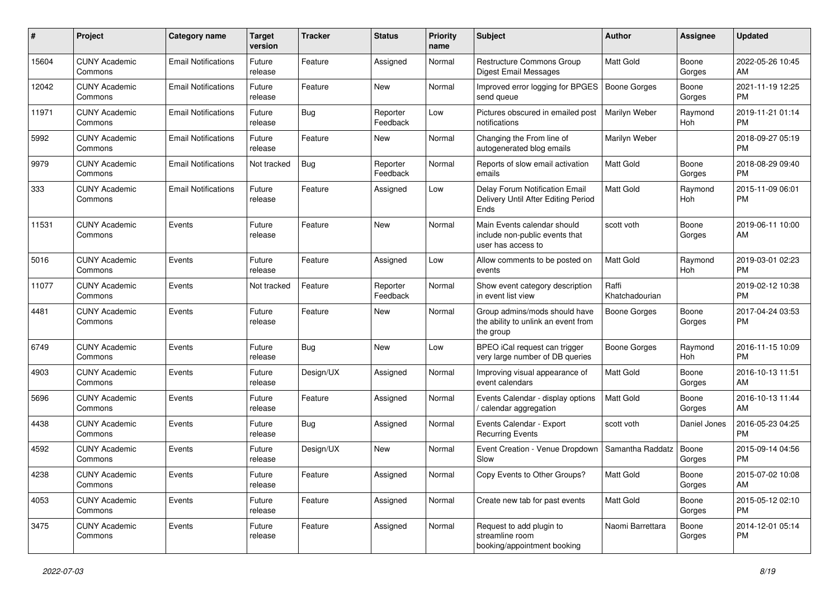| #     | Project                         | <b>Category name</b>       | <b>Target</b><br>version | <b>Tracker</b> | <b>Status</b>        | Priority<br>name | <b>Subject</b>                                                                      | Author                  | Assignee        | <b>Updated</b>                |
|-------|---------------------------------|----------------------------|--------------------------|----------------|----------------------|------------------|-------------------------------------------------------------------------------------|-------------------------|-----------------|-------------------------------|
| 15604 | <b>CUNY Academic</b><br>Commons | <b>Email Notifications</b> | Future<br>release        | Feature        | Assigned             | Normal           | Restructure Commons Group<br>Digest Email Messages                                  | <b>Matt Gold</b>        | Boone<br>Gorges | 2022-05-26 10:45<br>AM        |
| 12042 | <b>CUNY Academic</b><br>Commons | <b>Email Notifications</b> | Future<br>release        | Feature        | New                  | Normal           | Improved error logging for BPGES   Boone Gorges<br>send queue                       |                         | Boone<br>Gorges | 2021-11-19 12:25<br><b>PM</b> |
| 11971 | <b>CUNY Academic</b><br>Commons | <b>Email Notifications</b> | Future<br>release        | Bug            | Reporter<br>Feedback | Low              | Pictures obscured in emailed post<br>notifications                                  | Marilyn Weber           | Raymond<br>Hoh  | 2019-11-21 01:14<br><b>PM</b> |
| 5992  | <b>CUNY Academic</b><br>Commons | <b>Email Notifications</b> | Future<br>release        | Feature        | New                  | Normal           | Changing the From line of<br>autogenerated blog emails                              | Marilyn Weber           |                 | 2018-09-27 05:19<br><b>PM</b> |
| 9979  | <b>CUNY Academic</b><br>Commons | <b>Email Notifications</b> | Not tracked              | Bug            | Reporter<br>Feedback | Normal           | Reports of slow email activation<br>emails                                          | <b>Matt Gold</b>        | Boone<br>Gorges | 2018-08-29 09:40<br><b>PM</b> |
| 333   | <b>CUNY Academic</b><br>Commons | <b>Email Notifications</b> | Future<br>release        | Feature        | Assigned             | Low              | Delay Forum Notification Email<br>Delivery Until After Editing Period<br>Ends       | <b>Matt Gold</b>        | Raymond<br>Hoh  | 2015-11-09 06:01<br><b>PM</b> |
| 11531 | <b>CUNY Academic</b><br>Commons | Events                     | Future<br>release        | Feature        | New                  | Normal           | Main Events calendar should<br>include non-public events that<br>user has access to | scott voth              | Boone<br>Gorges | 2019-06-11 10:00<br>AM        |
| 5016  | <b>CUNY Academic</b><br>Commons | Events                     | Future<br>release        | Feature        | Assigned             | Low              | Allow comments to be posted on<br>events                                            | <b>Matt Gold</b>        | Raymond<br>Hoh  | 2019-03-01 02:23<br><b>PM</b> |
| 11077 | <b>CUNY Academic</b><br>Commons | Events                     | Not tracked              | Feature        | Reporter<br>Feedback | Normal           | Show event category description<br>in event list view                               | Raffi<br>Khatchadourian |                 | 2019-02-12 10:38<br><b>PM</b> |
| 4481  | <b>CUNY Academic</b><br>Commons | Events                     | Future<br>release        | Feature        | New                  | Normal           | Group admins/mods should have<br>the ability to unlink an event from<br>the group   | <b>Boone Gorges</b>     | Boone<br>Gorges | 2017-04-24 03:53<br><b>PM</b> |
| 6749  | <b>CUNY Academic</b><br>Commons | Events                     | Future<br>release        | Bug            | New                  | Low              | BPEO iCal request can trigger<br>very large number of DB queries                    | <b>Boone Gorges</b>     | Raymond<br>Hoh  | 2016-11-15 10:09<br><b>PM</b> |
| 4903  | <b>CUNY Academic</b><br>Commons | Events                     | Future<br>release        | Design/UX      | Assigned             | Normal           | Improving visual appearance of<br>event calendars                                   | <b>Matt Gold</b>        | Boone<br>Gorges | 2016-10-13 11:51<br>AM        |
| 5696  | <b>CUNY Academic</b><br>Commons | Events                     | Future<br>release        | Feature        | Assigned             | Normal           | Events Calendar - display options<br>/ calendar aggregation                         | <b>Matt Gold</b>        | Boone<br>Gorges | 2016-10-13 11:44<br>AM        |
| 4438  | <b>CUNY Academic</b><br>Commons | Events                     | Future<br>release        | Bug            | Assigned             | Normal           | Events Calendar - Export<br><b>Recurring Events</b>                                 | scott voth              | Daniel Jones    | 2016-05-23 04:25<br><b>PM</b> |
| 4592  | <b>CUNY Academic</b><br>Commons | Events                     | Future<br>release        | Design/UX      | New                  | Normal           | Event Creation - Venue Dropdown<br>Slow                                             | Samantha Raddatz        | Boone<br>Gorges | 2015-09-14 04:56<br><b>PM</b> |
| 4238  | <b>CUNY Academic</b><br>Commons | Events                     | Future<br>release        | Feature        | Assigned             | Normal           | Copy Events to Other Groups?                                                        | <b>Matt Gold</b>        | Boone<br>Gorges | 2015-07-02 10:08<br>AM        |
| 4053  | <b>CUNY Academic</b><br>Commons | Events                     | Future<br>release        | Feature        | Assigned             | Normal           | Create new tab for past events                                                      | Matt Gold               | Boone<br>Gorges | 2015-05-12 02:10<br><b>PM</b> |
| 3475  | <b>CUNY Academic</b><br>Commons | Events                     | Future<br>release        | Feature        | Assigned             | Normal           | Request to add plugin to<br>streamline room<br>booking/appointment booking          | Naomi Barrettara        | Boone<br>Gorges | 2014-12-01 05:14<br>PM        |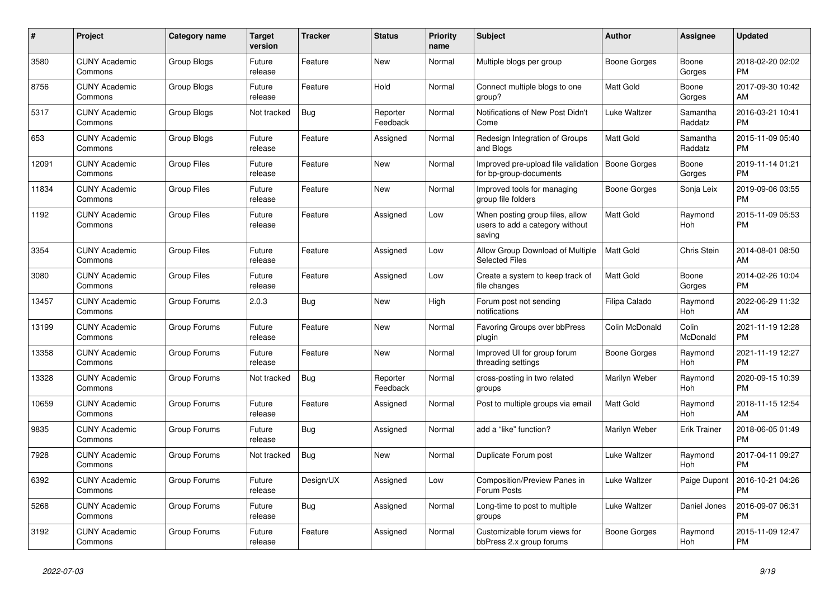| $\#$  | Project                         | <b>Category name</b> | <b>Target</b><br>version | <b>Tracker</b> | <b>Status</b>        | Priority<br>name | <b>Subject</b>                                                               | <b>Author</b>    | <b>Assignee</b>     | <b>Updated</b>                |
|-------|---------------------------------|----------------------|--------------------------|----------------|----------------------|------------------|------------------------------------------------------------------------------|------------------|---------------------|-------------------------------|
| 3580  | <b>CUNY Academic</b><br>Commons | Group Blogs          | Future<br>release        | Feature        | New                  | Normal           | Multiple blogs per group                                                     | Boone Gorges     | Boone<br>Gorges     | 2018-02-20 02:02<br><b>PM</b> |
| 8756  | <b>CUNY Academic</b><br>Commons | Group Blogs          | Future<br>release        | Feature        | Hold                 | Normal           | Connect multiple blogs to one<br>group?                                      | Matt Gold        | Boone<br>Gorges     | 2017-09-30 10:42<br>AM        |
| 5317  | <b>CUNY Academic</b><br>Commons | Group Blogs          | Not tracked              | <b>Bug</b>     | Reporter<br>Feedback | Normal           | Notifications of New Post Didn't<br>Come                                     | Luke Waltzer     | Samantha<br>Raddatz | 2016-03-21 10:41<br><b>PM</b> |
| 653   | <b>CUNY Academic</b><br>Commons | <b>Group Blogs</b>   | Future<br>release        | Feature        | Assigned             | Normal           | Redesign Integration of Groups<br>and Blogs                                  | <b>Matt Gold</b> | Samantha<br>Raddatz | 2015-11-09 05:40<br><b>PM</b> |
| 12091 | <b>CUNY Academic</b><br>Commons | <b>Group Files</b>   | Future<br>release        | Feature        | New                  | Normal           | Improved pre-upload file validation<br>for bp-group-documents                | Boone Gorges     | Boone<br>Gorges     | 2019-11-14 01:21<br><b>PM</b> |
| 11834 | <b>CUNY Academic</b><br>Commons | <b>Group Files</b>   | Future<br>release        | Feature        | New                  | Normal           | Improved tools for managing<br>group file folders                            | Boone Gorges     | Sonja Leix          | 2019-09-06 03:55<br><b>PM</b> |
| 1192  | <b>CUNY Academic</b><br>Commons | <b>Group Files</b>   | Future<br>release        | Feature        | Assigned             | Low              | When posting group files, allow<br>users to add a category without<br>saving | <b>Matt Gold</b> | Raymond<br>Hoh      | 2015-11-09 05:53<br><b>PM</b> |
| 3354  | <b>CUNY Academic</b><br>Commons | Group Files          | Future<br>release        | Feature        | Assigned             | Low              | Allow Group Download of Multiple<br><b>Selected Files</b>                    | Matt Gold        | Chris Stein         | 2014-08-01 08:50<br>AM        |
| 3080  | <b>CUNY Academic</b><br>Commons | <b>Group Files</b>   | Future<br>release        | Feature        | Assigned             | Low              | Create a system to keep track of<br>file changes                             | Matt Gold        | Boone<br>Gorges     | 2014-02-26 10:04<br><b>PM</b> |
| 13457 | <b>CUNY Academic</b><br>Commons | Group Forums         | 2.0.3                    | <b>Bug</b>     | <b>New</b>           | High             | Forum post not sending<br>notifications                                      | Filipa Calado    | Raymond<br>Hoh      | 2022-06-29 11:32<br>AM        |
| 13199 | <b>CUNY Academic</b><br>Commons | Group Forums         | Future<br>release        | Feature        | New                  | Normal           | Favoring Groups over bbPress<br>plugin                                       | Colin McDonald   | Colin<br>McDonald   | 2021-11-19 12:28<br><b>PM</b> |
| 13358 | <b>CUNY Academic</b><br>Commons | Group Forums         | Future<br>release        | Feature        | <b>New</b>           | Normal           | Improved UI for group forum<br>threading settings                            | Boone Gorges     | Raymond<br>Hoh      | 2021-11-19 12:27<br><b>PM</b> |
| 13328 | <b>CUNY Academic</b><br>Commons | Group Forums         | Not tracked              | Bug            | Reporter<br>Feedback | Normal           | cross-posting in two related<br>groups                                       | Marilyn Weber    | Raymond<br>Hoh      | 2020-09-15 10:39<br><b>PM</b> |
| 10659 | <b>CUNY Academic</b><br>Commons | Group Forums         | Future<br>release        | Feature        | Assigned             | Normal           | Post to multiple groups via email                                            | <b>Matt Gold</b> | Raymond<br>Hoh      | 2018-11-15 12:54<br>AM        |
| 9835  | <b>CUNY Academic</b><br>Commons | Group Forums         | Future<br>release        | Bug            | Assigned             | Normal           | add a "like" function?                                                       | Marilyn Weber    | <b>Erik Trainer</b> | 2018-06-05 01:49<br><b>PM</b> |
| 7928  | <b>CUNY Academic</b><br>Commons | Group Forums         | Not tracked              | Bug            | New                  | Normal           | Duplicate Forum post                                                         | Luke Waltzer     | Raymond<br>Hoh      | 2017-04-11 09:27<br><b>PM</b> |
| 6392  | <b>CUNY Academic</b><br>Commons | Group Forums         | Future<br>release        | Design/UX      | Assigned             | Low              | Composition/Preview Panes in<br>Forum Posts                                  | Luke Waltzer     | Paige Dupont        | 2016-10-21 04:26<br><b>PM</b> |
| 5268  | <b>CUNY Academic</b><br>Commons | Group Forums         | Future<br>release        | <b>Bug</b>     | Assigned             | Normal           | Long-time to post to multiple<br>groups                                      | Luke Waltzer     | Daniel Jones        | 2016-09-07 06:31<br><b>PM</b> |
| 3192  | <b>CUNY Academic</b><br>Commons | Group Forums         | Future<br>release        | Feature        | Assigned             | Normal           | Customizable forum views for<br>bbPress 2.x group forums                     | Boone Gorges     | Raymond<br>Hoh      | 2015-11-09 12:47<br><b>PM</b> |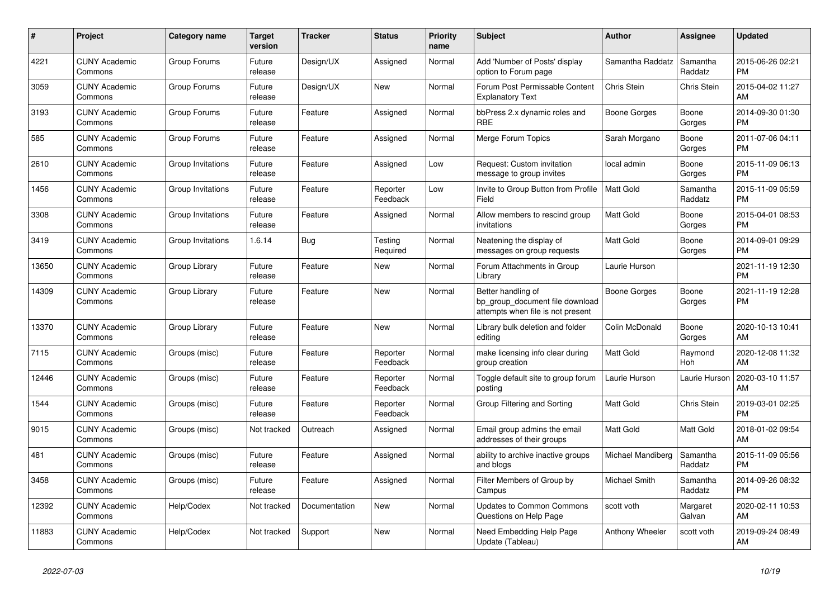| #     | Project                         | Category name     | Target<br>version | Tracker       | <b>Status</b>        | <b>Priority</b><br>name | <b>Subject</b>                                                                             | <b>Author</b>     | Assignee            | <b>Updated</b>                |
|-------|---------------------------------|-------------------|-------------------|---------------|----------------------|-------------------------|--------------------------------------------------------------------------------------------|-------------------|---------------------|-------------------------------|
| 4221  | <b>CUNY Academic</b><br>Commons | Group Forums      | Future<br>release | Design/UX     | Assigned             | Normal                  | Add 'Number of Posts' display<br>option to Forum page                                      | Samantha Raddatz  | Samantha<br>Raddatz | 2015-06-26 02:21<br><b>PM</b> |
| 3059  | <b>CUNY Academic</b><br>Commons | Group Forums      | Future<br>release | Design/UX     | New                  | Normal                  | Forum Post Permissable Content<br><b>Explanatory Text</b>                                  | Chris Stein       | <b>Chris Stein</b>  | 2015-04-02 11:27<br>AM        |
| 3193  | <b>CUNY Academic</b><br>Commons | Group Forums      | Future<br>release | Feature       | Assigned             | Normal                  | bbPress 2.x dynamic roles and<br><b>RBE</b>                                                | Boone Gorges      | Boone<br>Gorges     | 2014-09-30 01:30<br><b>PM</b> |
| 585   | <b>CUNY Academic</b><br>Commons | Group Forums      | Future<br>release | Feature       | Assigned             | Normal                  | Merge Forum Topics                                                                         | Sarah Morgano     | Boone<br>Gorges     | 2011-07-06 04:11<br><b>PM</b> |
| 2610  | <b>CUNY Academic</b><br>Commons | Group Invitations | Future<br>release | Feature       | Assigned             | Low                     | Request: Custom invitation<br>message to group invites                                     | local admin       | Boone<br>Gorges     | 2015-11-09 06:13<br><b>PM</b> |
| 1456  | <b>CUNY Academic</b><br>Commons | Group Invitations | Future<br>release | Feature       | Reporter<br>Feedback | Low                     | Invite to Group Button from Profile<br>Field                                               | <b>Matt Gold</b>  | Samantha<br>Raddatz | 2015-11-09 05:59<br><b>PM</b> |
| 3308  | <b>CUNY Academic</b><br>Commons | Group Invitations | Future<br>release | Feature       | Assigned             | Normal                  | Allow members to rescind group<br>invitations                                              | Matt Gold         | Boone<br>Gorges     | 2015-04-01 08:53<br><b>PM</b> |
| 3419  | <b>CUNY Academic</b><br>Commons | Group Invitations | 1.6.14            | Bug           | Testing<br>Required  | Normal                  | Neatening the display of<br>messages on group requests                                     | Matt Gold         | Boone<br>Gorges     | 2014-09-01 09:29<br><b>PM</b> |
| 13650 | <b>CUNY Academic</b><br>Commons | Group Library     | Future<br>release | Feature       | New                  | Normal                  | Forum Attachments in Group<br>Library                                                      | Laurie Hurson     |                     | 2021-11-19 12:30<br><b>PM</b> |
| 14309 | <b>CUNY Academic</b><br>Commons | Group Library     | Future<br>release | Feature       | New                  | Normal                  | Better handling of<br>bp_group_document file download<br>attempts when file is not present | Boone Gorges      | Boone<br>Gorges     | 2021-11-19 12:28<br><b>PM</b> |
| 13370 | <b>CUNY Academic</b><br>Commons | Group Library     | Future<br>release | Feature       | New                  | Normal                  | Library bulk deletion and folder<br>editing                                                | Colin McDonald    | Boone<br>Gorges     | 2020-10-13 10:41<br>AM        |
| 7115  | <b>CUNY Academic</b><br>Commons | Groups (misc)     | Future<br>release | Feature       | Reporter<br>Feedback | Normal                  | make licensing info clear during<br>group creation                                         | Matt Gold         | Raymond<br>Hoh      | 2020-12-08 11:32<br>AM        |
| 12446 | <b>CUNY Academic</b><br>Commons | Groups (misc)     | Future<br>release | Feature       | Reporter<br>Feedback | Normal                  | Toggle default site to group forum<br>posting                                              | Laurie Hurson     | Laurie Hurson       | 2020-03-10 11:57<br>AM        |
| 1544  | <b>CUNY Academic</b><br>Commons | Groups (misc)     | Future<br>release | Feature       | Reporter<br>Feedback | Normal                  | Group Filtering and Sorting                                                                | Matt Gold         | Chris Stein         | 2019-03-01 02:25<br><b>PM</b> |
| 9015  | <b>CUNY Academic</b><br>Commons | Groups (misc)     | Not tracked       | Outreach      | Assigned             | Normal                  | Email group admins the email<br>addresses of their groups                                  | <b>Matt Gold</b>  | Matt Gold           | 2018-01-02 09:54<br>AM        |
| 481   | <b>CUNY Academic</b><br>Commons | Groups (misc)     | Future<br>release | Feature       | Assigned             | Normal                  | ability to archive inactive groups<br>and blogs                                            | Michael Mandiberg | Samantha<br>Raddatz | 2015-11-09 05:56<br><b>PM</b> |
| 3458  | <b>CUNY Academic</b><br>Commons | Groups (misc)     | Future<br>release | Feature       | Assigned             | Normal                  | Filter Members of Group by<br>Campus                                                       | Michael Smith     | Samantha<br>Raddatz | 2014-09-26 08:32<br><b>PM</b> |
| 12392 | <b>CUNY Academic</b><br>Commons | Help/Codex        | Not tracked       | Documentation | New                  | Normal                  | <b>Updates to Common Commons</b><br>Questions on Help Page                                 | scott voth        | Margaret<br>Galvan  | 2020-02-11 10:53<br>AM        |
| 11883 | <b>CUNY Academic</b><br>Commons | Help/Codex        | Not tracked       | Support       | <b>New</b>           | Normal                  | Need Embedding Help Page<br>Update (Tableau)                                               | Anthony Wheeler   | scott voth          | 2019-09-24 08:49<br>AM        |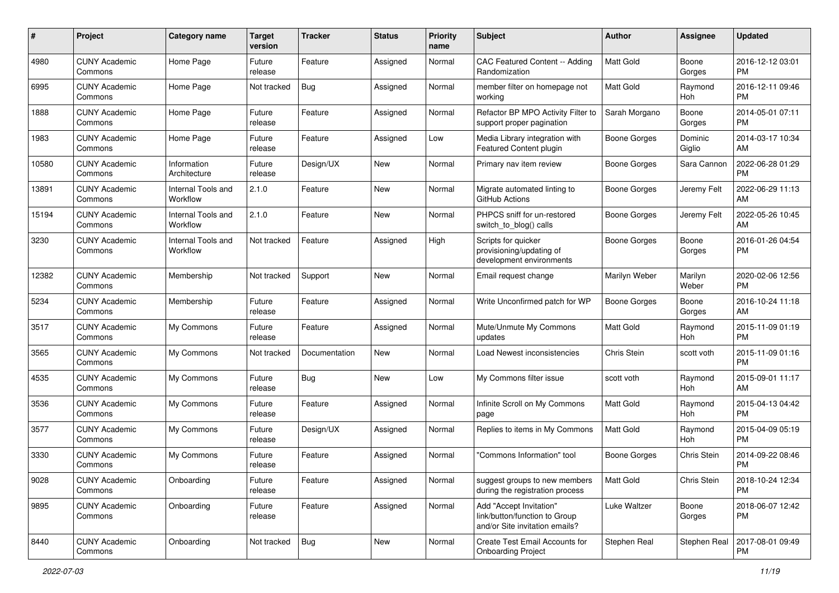| #     | Project                         | <b>Category name</b>           | <b>Target</b><br>version | <b>Tracker</b> | <b>Status</b> | Priority<br>name | <b>Subject</b>                                                                             | Author              | <b>Assignee</b>   | <b>Updated</b>                |
|-------|---------------------------------|--------------------------------|--------------------------|----------------|---------------|------------------|--------------------------------------------------------------------------------------------|---------------------|-------------------|-------------------------------|
| 4980  | <b>CUNY Academic</b><br>Commons | Home Page                      | Future<br>release        | Feature        | Assigned      | Normal           | CAC Featured Content -- Adding<br>Randomization                                            | <b>Matt Gold</b>    | Boone<br>Gorges   | 2016-12-12 03:01<br><b>PM</b> |
| 6995  | <b>CUNY Academic</b><br>Commons | Home Page                      | Not tracked              | <b>Bug</b>     | Assigned      | Normal           | member filter on homepage not<br>workina                                                   | Matt Gold           | Raymond<br>Hoh    | 2016-12-11 09:46<br><b>PM</b> |
| 1888  | <b>CUNY Academic</b><br>Commons | Home Page                      | Future<br>release        | Feature        | Assigned      | Normal           | Refactor BP MPO Activity Filter to<br>support proper pagination                            | Sarah Morgano       | Boone<br>Gorges   | 2014-05-01 07:11<br><b>PM</b> |
| 1983  | <b>CUNY Academic</b><br>Commons | Home Page                      | Future<br>release        | Feature        | Assigned      | Low              | Media Library integration with<br>Featured Content plugin                                  | Boone Gorges        | Dominic<br>Giglio | 2014-03-17 10:34<br>AM        |
| 10580 | <b>CUNY Academic</b><br>Commons | Information<br>Architecture    | Future<br>release        | Design/UX      | New           | Normal           | Primary nav item review                                                                    | <b>Boone Gorges</b> | Sara Cannon       | 2022-06-28 01:29<br><b>PM</b> |
| 13891 | <b>CUNY Academic</b><br>Commons | Internal Tools and<br>Workflow | 2.1.0                    | Feature        | New           | Normal           | Migrate automated linting to<br>GitHub Actions                                             | <b>Boone Gorges</b> | Jeremy Felt       | 2022-06-29 11:13<br>AM        |
| 15194 | <b>CUNY Academic</b><br>Commons | Internal Tools and<br>Workflow | 2.1.0                    | Feature        | New           | Normal           | PHPCS sniff for un-restored<br>switch to blog() calls                                      | Boone Gorges        | Jeremy Felt       | 2022-05-26 10:45<br>AM        |
| 3230  | <b>CUNY Academic</b><br>Commons | Internal Tools and<br>Workflow | Not tracked              | Feature        | Assigned      | High             | Scripts for quicker<br>provisioning/updating of<br>development environments                | <b>Boone Gorges</b> | Boone<br>Gorges   | 2016-01-26 04:54<br><b>PM</b> |
| 12382 | <b>CUNY Academic</b><br>Commons | Membership                     | Not tracked              | Support        | New           | Normal           | Email request change                                                                       | Marilyn Weber       | Marilyn<br>Weber  | 2020-02-06 12:56<br>PM        |
| 5234  | <b>CUNY Academic</b><br>Commons | Membership                     | Future<br>release        | Feature        | Assigned      | Normal           | Write Unconfirmed patch for WP                                                             | <b>Boone Gorges</b> | Boone<br>Gorges   | 2016-10-24 11:18<br>AM        |
| 3517  | <b>CUNY Academic</b><br>Commons | My Commons                     | Future<br>release        | Feature        | Assigned      | Normal           | Mute/Unmute My Commons<br>updates                                                          | Matt Gold           | Raymond<br>Hoh    | 2015-11-09 01:19<br><b>PM</b> |
| 3565  | <b>CUNY Academic</b><br>Commons | My Commons                     | Not tracked              | Documentation  | New           | Normal           | Load Newest inconsistencies                                                                | Chris Stein         | scott voth        | 2015-11-09 01:16<br><b>PM</b> |
| 4535  | <b>CUNY Academic</b><br>Commons | My Commons                     | Future<br>release        | Bug            | <b>New</b>    | Low              | My Commons filter issue                                                                    | scott voth          | Raymond<br>Hoh    | 2015-09-01 11:17<br>AM        |
| 3536  | <b>CUNY Academic</b><br>Commons | My Commons                     | Future<br>release        | Feature        | Assigned      | Normal           | Infinite Scroll on My Commons<br>page                                                      | <b>Matt Gold</b>    | Raymond<br>Hoh    | 2015-04-13 04:42<br><b>PM</b> |
| 3577  | <b>CUNY Academic</b><br>Commons | My Commons                     | Future<br>release        | Design/UX      | Assigned      | Normal           | Replies to items in My Commons                                                             | Matt Gold           | Raymond<br>Hoh    | 2015-04-09 05:19<br><b>PM</b> |
| 3330  | <b>CUNY Academic</b><br>Commons | My Commons                     | Future<br>release        | Feature        | Assigned      | Normal           | "Commons Information" tool                                                                 | <b>Boone Gorges</b> | Chris Stein       | 2014-09-22 08:46<br><b>PM</b> |
| 9028  | <b>CUNY Academic</b><br>Commons | Onboarding                     | Future<br>release        | Feature        | Assigned      | Normal           | suggest groups to new members<br>during the registration process                           | Matt Gold           | Chris Stein       | 2018-10-24 12:34<br>PM        |
| 9895  | <b>CUNY Academic</b><br>Commons | Onboarding                     | Future<br>release        | Feature        | Assigned      | Normal           | Add "Accept Invitation"<br>link/button/function to Group<br>and/or Site invitation emails? | Luke Waltzer        | Boone<br>Gorges   | 2018-06-07 12:42<br>PM        |
| 8440  | <b>CUNY Academic</b><br>Commons | Onboarding                     | Not tracked              | Bug            | New           | Normal           | Create Test Email Accounts for<br><b>Onboarding Project</b>                                | Stephen Real        | Stephen Real      | 2017-08-01 09:49<br><b>PM</b> |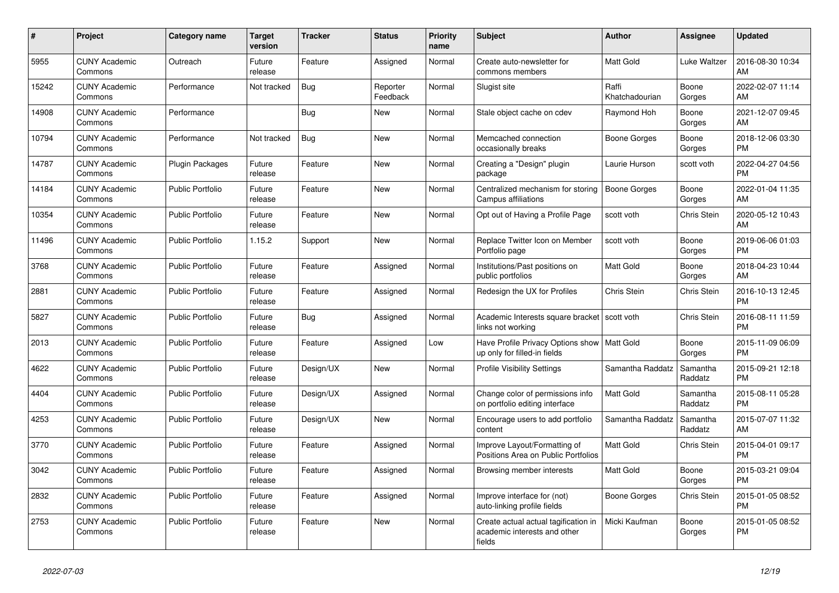| #     | Project                         | <b>Category name</b>    | <b>Target</b><br>version | <b>Tracker</b> | <b>Status</b>        | Priority<br>name | <b>Subject</b>                                                                 | <b>Author</b>           | <b>Assignee</b>     | <b>Updated</b>                |
|-------|---------------------------------|-------------------------|--------------------------|----------------|----------------------|------------------|--------------------------------------------------------------------------------|-------------------------|---------------------|-------------------------------|
| 5955  | <b>CUNY Academic</b><br>Commons | Outreach                | Future<br>release        | Feature        | Assigned             | Normal           | Create auto-newsletter for<br>commons members                                  | Matt Gold               | Luke Waltzer        | 2016-08-30 10:34<br>AM        |
| 15242 | <b>CUNY Academic</b><br>Commons | Performance             | Not tracked              | Bug            | Reporter<br>Feedback | Normal           | Slugist site                                                                   | Raffi<br>Khatchadourian | Boone<br>Gorges     | 2022-02-07 11:14<br>AM        |
| 14908 | <b>CUNY Academic</b><br>Commons | Performance             |                          | <b>Bug</b>     | New                  | Normal           | Stale object cache on cdev                                                     | Raymond Hoh             | Boone<br>Gorges     | 2021-12-07 09:45<br>AM        |
| 10794 | <b>CUNY Academic</b><br>Commons | Performance             | Not tracked              | <b>Bug</b>     | <b>New</b>           | Normal           | Memcached connection<br>occasionally breaks                                    | Boone Gorges            | Boone<br>Gorges     | 2018-12-06 03:30<br><b>PM</b> |
| 14787 | <b>CUNY Academic</b><br>Commons | <b>Plugin Packages</b>  | Future<br>release        | Feature        | New                  | Normal           | Creating a "Design" plugin<br>package                                          | Laurie Hurson           | scott voth          | 2022-04-27 04:56<br><b>PM</b> |
| 14184 | <b>CUNY Academic</b><br>Commons | <b>Public Portfolio</b> | Future<br>release        | Feature        | New                  | Normal           | Centralized mechanism for storing<br>Campus affiliations                       | Boone Gorges            | Boone<br>Gorges     | 2022-01-04 11:35<br>AM        |
| 10354 | <b>CUNY Academic</b><br>Commons | <b>Public Portfolio</b> | Future<br>release        | Feature        | <b>New</b>           | Normal           | Opt out of Having a Profile Page                                               | scott voth              | Chris Stein         | 2020-05-12 10:43<br>AM        |
| 11496 | <b>CUNY Academic</b><br>Commons | <b>Public Portfolio</b> | 1.15.2                   | Support        | New                  | Normal           | Replace Twitter Icon on Member<br>Portfolio page                               | scott voth              | Boone<br>Gorges     | 2019-06-06 01:03<br><b>PM</b> |
| 3768  | <b>CUNY Academic</b><br>Commons | <b>Public Portfolio</b> | Future<br>release        | Feature        | Assigned             | Normal           | Institutions/Past positions on<br>public portfolios                            | Matt Gold               | Boone<br>Gorges     | 2018-04-23 10:44<br>AM        |
| 2881  | <b>CUNY Academic</b><br>Commons | <b>Public Portfolio</b> | Future<br>release        | Feature        | Assigned             | Normal           | Redesign the UX for Profiles                                                   | Chris Stein             | Chris Stein         | 2016-10-13 12:45<br><b>PM</b> |
| 5827  | <b>CUNY Academic</b><br>Commons | <b>Public Portfolio</b> | Future<br>release        | Bug            | Assigned             | Normal           | Academic Interests square bracket<br>links not working                         | scott voth              | Chris Stein         | 2016-08-11 11:59<br><b>PM</b> |
| 2013  | <b>CUNY Academic</b><br>Commons | <b>Public Portfolio</b> | Future<br>release        | Feature        | Assigned             | Low              | Have Profile Privacy Options show   Matt Gold<br>up only for filled-in fields  |                         | Boone<br>Gorges     | 2015-11-09 06:09<br><b>PM</b> |
| 4622  | <b>CUNY Academic</b><br>Commons | <b>Public Portfolio</b> | Future<br>release        | Design/UX      | <b>New</b>           | Normal           | <b>Profile Visibility Settings</b>                                             | Samantha Raddatz        | Samantha<br>Raddatz | 2015-09-21 12:18<br><b>PM</b> |
| 4404  | <b>CUNY Academic</b><br>Commons | <b>Public Portfolio</b> | Future<br>release        | Design/UX      | Assigned             | Normal           | Change color of permissions info<br>on portfolio editing interface             | <b>Matt Gold</b>        | Samantha<br>Raddatz | 2015-08-11 05:28<br><b>PM</b> |
| 4253  | <b>CUNY Academic</b><br>Commons | <b>Public Portfolio</b> | Future<br>release        | Design/UX      | New                  | Normal           | Encourage users to add portfolio<br>content                                    | Samantha Raddatz        | Samantha<br>Raddatz | 2015-07-07 11:32<br>AM        |
| 3770  | <b>CUNY Academic</b><br>Commons | <b>Public Portfolio</b> | Future<br>release        | Feature        | Assigned             | Normal           | Improve Layout/Formatting of<br>Positions Area on Public Portfolios            | Matt Gold               | Chris Stein         | 2015-04-01 09:17<br><b>PM</b> |
| 3042  | <b>CUNY Academic</b><br>Commons | <b>Public Portfolio</b> | Future<br>release        | Feature        | Assigned             | Normal           | Browsing member interests                                                      | <b>Matt Gold</b>        | Boone<br>Gorges     | 2015-03-21 09:04<br><b>PM</b> |
| 2832  | <b>CUNY Academic</b><br>Commons | <b>Public Portfolio</b> | Future<br>release        | Feature        | Assigned             | Normal           | Improve interface for (not)<br>auto-linking profile fields                     | Boone Gorges            | Chris Stein         | 2015-01-05 08:52<br><b>PM</b> |
| 2753  | <b>CUNY Academic</b><br>Commons | <b>Public Portfolio</b> | Future<br>release        | Feature        | New                  | Normal           | Create actual actual tagification in<br>academic interests and other<br>fields | Micki Kaufman           | Boone<br>Gorges     | 2015-01-05 08:52<br><b>PM</b> |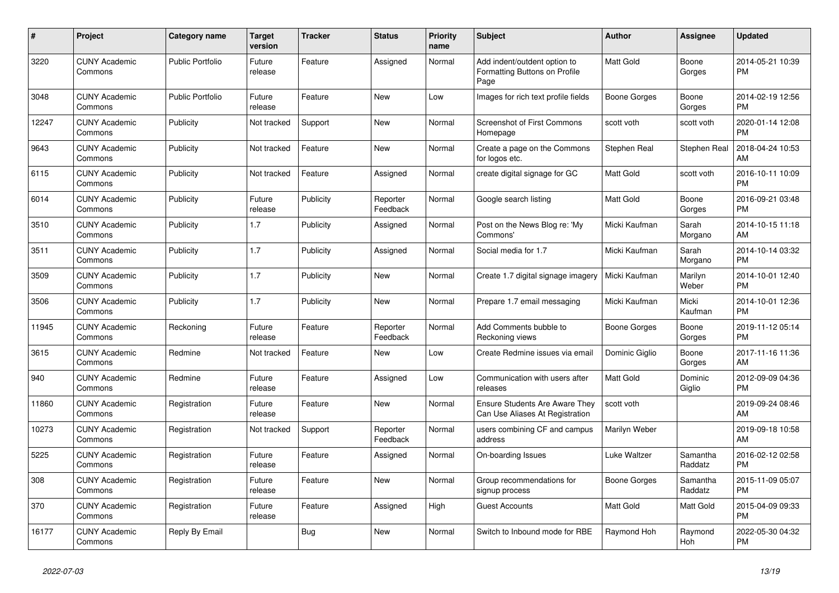| #     | <b>Project</b>                  | Category name           | <b>Target</b><br>version | <b>Tracker</b> | <b>Status</b>        | <b>Priority</b><br>name | <b>Subject</b>                                                           | <b>Author</b>    | Assignee            | <b>Updated</b>                |
|-------|---------------------------------|-------------------------|--------------------------|----------------|----------------------|-------------------------|--------------------------------------------------------------------------|------------------|---------------------|-------------------------------|
| 3220  | <b>CUNY Academic</b><br>Commons | <b>Public Portfolio</b> | Future<br>release        | Feature        | Assigned             | Normal                  | Add indent/outdent option to<br>Formatting Buttons on Profile<br>Page    | <b>Matt Gold</b> | Boone<br>Gorges     | 2014-05-21 10:39<br><b>PM</b> |
| 3048  | <b>CUNY Academic</b><br>Commons | <b>Public Portfolio</b> | Future<br>release        | Feature        | New                  | Low                     | Images for rich text profile fields                                      | Boone Gorges     | Boone<br>Gorges     | 2014-02-19 12:56<br><b>PM</b> |
| 12247 | <b>CUNY Academic</b><br>Commons | Publicity               | Not tracked              | Support        | New                  | Normal                  | <b>Screenshot of First Commons</b><br>Homepage                           | scott voth       | scott voth          | 2020-01-14 12:08<br><b>PM</b> |
| 9643  | <b>CUNY Academic</b><br>Commons | Publicity               | Not tracked              | Feature        | <b>New</b>           | Normal                  | Create a page on the Commons<br>for logos etc.                           | Stephen Real     | Stephen Real        | 2018-04-24 10:53<br>AM        |
| 6115  | <b>CUNY Academic</b><br>Commons | Publicity               | Not tracked              | Feature        | Assigned             | Normal                  | create digital signage for GC                                            | Matt Gold        | scott voth          | 2016-10-11 10:09<br><b>PM</b> |
| 6014  | <b>CUNY Academic</b><br>Commons | Publicity               | Future<br>release        | Publicity      | Reporter<br>Feedback | Normal                  | Google search listing                                                    | <b>Matt Gold</b> | Boone<br>Gorges     | 2016-09-21 03:48<br><b>PM</b> |
| 3510  | <b>CUNY Academic</b><br>Commons | Publicity               | 1.7                      | Publicity      | Assigned             | Normal                  | Post on the News Blog re: 'My<br>Commons'                                | Micki Kaufman    | Sarah<br>Morgano    | 2014-10-15 11:18<br>AM        |
| 3511  | <b>CUNY Academic</b><br>Commons | Publicity               | 1.7                      | Publicity      | Assigned             | Normal                  | Social media for 1.7                                                     | Micki Kaufman    | Sarah<br>Morgano    | 2014-10-14 03:32<br><b>PM</b> |
| 3509  | <b>CUNY Academic</b><br>Commons | Publicity               | 1.7                      | Publicity      | New                  | Normal                  | Create 1.7 digital signage imagery                                       | Micki Kaufman    | Marilyn<br>Weber    | 2014-10-01 12:40<br><b>PM</b> |
| 3506  | <b>CUNY Academic</b><br>Commons | Publicity               | 1.7                      | Publicity      | <b>New</b>           | Normal                  | Prepare 1.7 email messaging                                              | Micki Kaufman    | Micki<br>Kaufman    | 2014-10-01 12:36<br><b>PM</b> |
| 11945 | <b>CUNY Academic</b><br>Commons | Reckoning               | Future<br>release        | Feature        | Reporter<br>Feedback | Normal                  | Add Comments bubble to<br>Reckoning views                                | Boone Gorges     | Boone<br>Gorges     | 2019-11-12 05:14<br><b>PM</b> |
| 3615  | <b>CUNY Academic</b><br>Commons | Redmine                 | Not tracked              | Feature        | New                  | Low                     | Create Redmine issues via email                                          | Dominic Giglio   | Boone<br>Gorges     | 2017-11-16 11:36<br>AM        |
| 940   | <b>CUNY Academic</b><br>Commons | Redmine                 | Future<br>release        | Feature        | Assigned             | Low                     | Communication with users after<br>releases                               | <b>Matt Gold</b> | Dominic<br>Giglio   | 2012-09-09 04:36<br><b>PM</b> |
| 11860 | <b>CUNY Academic</b><br>Commons | Registration            | Future<br>release        | Feature        | <b>New</b>           | Normal                  | <b>Ensure Students Are Aware They</b><br>Can Use Aliases At Registration | scott voth       |                     | 2019-09-24 08:46<br>AM        |
| 10273 | <b>CUNY Academic</b><br>Commons | Registration            | Not tracked              | Support        | Reporter<br>Feedback | Normal                  | users combining CF and campus<br>address                                 | Marilyn Weber    |                     | 2019-09-18 10:58<br>AM        |
| 5225  | <b>CUNY Academic</b><br>Commons | Registration            | Future<br>release        | Feature        | Assigned             | Normal                  | On-boarding Issues                                                       | Luke Waltzer     | Samantha<br>Raddatz | 2016-02-12 02:58<br><b>PM</b> |
| 308   | <b>CUNY Academic</b><br>Commons | Registration            | Future<br>release        | Feature        | <b>New</b>           | Normal                  | Group recommendations for<br>signup process                              | Boone Gorges     | Samantha<br>Raddatz | 2015-11-09 05:07<br><b>PM</b> |
| 370   | <b>CUNY Academic</b><br>Commons | Registration            | Future<br>release        | Feature        | Assigned             | High                    | <b>Guest Accounts</b>                                                    | <b>Matt Gold</b> | Matt Gold           | 2015-04-09 09:33<br><b>PM</b> |
| 16177 | <b>CUNY Academic</b><br>Commons | Reply By Email          |                          | Bug            | <b>New</b>           | Normal                  | Switch to Inbound mode for RBE                                           | Raymond Hoh      | Raymond<br>Hoh      | 2022-05-30 04:32<br><b>PM</b> |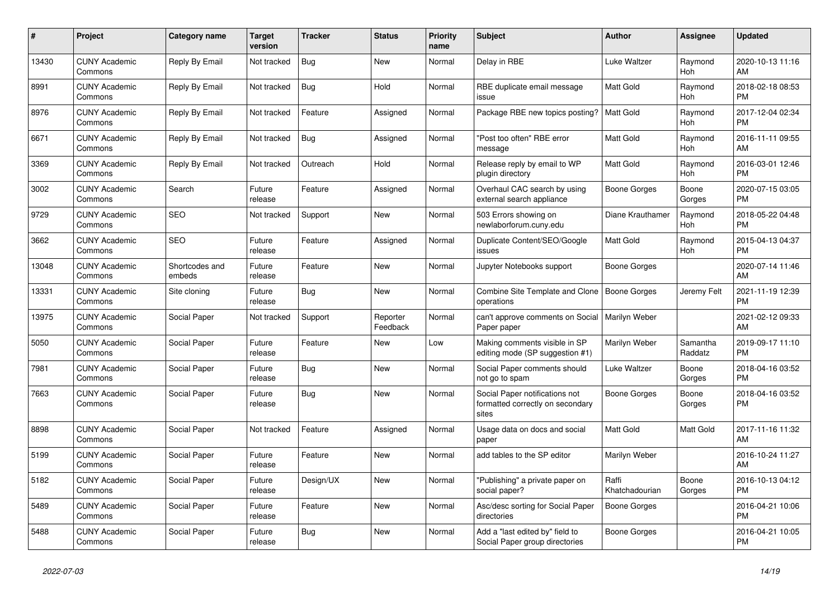| #     | Project                         | Category name            | <b>Target</b><br>version | Tracker    | <b>Status</b>        | <b>Priority</b><br>name | <b>Subject</b>                                                              | <b>Author</b>           | Assignee            | <b>Updated</b>                |
|-------|---------------------------------|--------------------------|--------------------------|------------|----------------------|-------------------------|-----------------------------------------------------------------------------|-------------------------|---------------------|-------------------------------|
| 13430 | <b>CUNY Academic</b><br>Commons | Reply By Email           | Not tracked              | <b>Bug</b> | New                  | Normal                  | Delay in RBE                                                                | Luke Waltzer            | Raymond<br>Hoh      | 2020-10-13 11:16<br>AM        |
| 8991  | <b>CUNY Academic</b><br>Commons | Reply By Email           | Not tracked              | <b>Bug</b> | Hold                 | Normal                  | RBE duplicate email message<br>issue                                        | Matt Gold               | Raymond<br>Hoh      | 2018-02-18 08:53<br><b>PM</b> |
| 8976  | <b>CUNY Academic</b><br>Commons | Reply By Email           | Not tracked              | Feature    | Assigned             | Normal                  | Package RBE new topics posting?                                             | <b>Matt Gold</b>        | Raymond<br>Hoh      | 2017-12-04 02:34<br><b>PM</b> |
| 6671  | <b>CUNY Academic</b><br>Commons | Reply By Email           | Not tracked              | <b>Bug</b> | Assigned             | Normal                  | "Post too often" RBE error<br>message                                       | Matt Gold               | Raymond<br>Hoh      | 2016-11-11 09:55<br>AM        |
| 3369  | <b>CUNY Academic</b><br>Commons | Reply By Email           | Not tracked              | Outreach   | Hold                 | Normal                  | Release reply by email to WP<br>plugin directory                            | Matt Gold               | Raymond<br>Hoh      | 2016-03-01 12:46<br><b>PM</b> |
| 3002  | <b>CUNY Academic</b><br>Commons | Search                   | Future<br>release        | Feature    | Assigned             | Normal                  | Overhaul CAC search by using<br>external search appliance                   | Boone Gorges            | Boone<br>Gorges     | 2020-07-15 03:05<br><b>PM</b> |
| 9729  | <b>CUNY Academic</b><br>Commons | <b>SEO</b>               | Not tracked              | Support    | New                  | Normal                  | 503 Errors showing on<br>newlaborforum.cuny.edu                             | Diane Krauthamer        | Raymond<br>Hoh      | 2018-05-22 04:48<br><b>PM</b> |
| 3662  | <b>CUNY Academic</b><br>Commons | <b>SEO</b>               | Future<br>release        | Feature    | Assigned             | Normal                  | Duplicate Content/SEO/Google<br>issues                                      | <b>Matt Gold</b>        | Raymond<br>Hoh      | 2015-04-13 04:37<br><b>PM</b> |
| 13048 | <b>CUNY Academic</b><br>Commons | Shortcodes and<br>embeds | Future<br>release        | Feature    | <b>New</b>           | Normal                  | Jupyter Notebooks support                                                   | Boone Gorges            |                     | 2020-07-14 11:46<br>AM        |
| 13331 | <b>CUNY Academic</b><br>Commons | Site cloning             | Future<br>release        | <b>Bug</b> | <b>New</b>           | Normal                  | Combine Site Template and Clone<br>operations                               | Boone Gorges            | Jeremy Felt         | 2021-11-19 12:39<br><b>PM</b> |
| 13975 | <b>CUNY Academic</b><br>Commons | Social Paper             | Not tracked              | Support    | Reporter<br>Feedback | Normal                  | can't approve comments on Social<br>Paper paper                             | Marilyn Weber           |                     | 2021-02-12 09:33<br>AM        |
| 5050  | <b>CUNY Academic</b><br>Commons | Social Paper             | Future<br>release        | Feature    | <b>New</b>           | Low                     | Making comments visible in SP<br>editing mode (SP suggestion #1)            | Marilyn Weber           | Samantha<br>Raddatz | 2019-09-17 11:10<br><b>PM</b> |
| 7981  | <b>CUNY Academic</b><br>Commons | Social Paper             | Future<br>release        | Bug        | <b>New</b>           | Normal                  | Social Paper comments should<br>not go to spam                              | Luke Waltzer            | Boone<br>Gorges     | 2018-04-16 03:52<br><b>PM</b> |
| 7663  | <b>CUNY Academic</b><br>Commons | Social Paper             | Future<br>release        | Bug        | <b>New</b>           | Normal                  | Social Paper notifications not<br>formatted correctly on secondary<br>sites | Boone Gorges            | Boone<br>Gorges     | 2018-04-16 03:52<br><b>PM</b> |
| 8898  | <b>CUNY Academic</b><br>Commons | Social Paper             | Not tracked              | Feature    | Assigned             | Normal                  | Usage data on docs and social<br>paper                                      | <b>Matt Gold</b>        | Matt Gold           | 2017-11-16 11:32<br>AM        |
| 5199  | <b>CUNY Academic</b><br>Commons | <b>Social Paper</b>      | Future<br>release        | Feature    | New                  | Normal                  | add tables to the SP editor                                                 | Marilyn Weber           |                     | 2016-10-24 11:27<br>AM        |
| 5182  | <b>CUNY Academic</b><br>Commons | Social Paper             | Future<br>release        | Design/UX  | New                  | Normal                  | "Publishing" a private paper on<br>social paper?                            | Raffi<br>Khatchadourian | Boone<br>Gorges     | 2016-10-13 04:12<br><b>PM</b> |
| 5489  | <b>CUNY Academic</b><br>Commons | Social Paper             | Future<br>release        | Feature    | <b>New</b>           | Normal                  | Asc/desc sorting for Social Paper<br>directories                            | Boone Gorges            |                     | 2016-04-21 10:06<br><b>PM</b> |
| 5488  | <b>CUNY Academic</b><br>Commons | Social Paper             | Future<br>release        | <b>Bug</b> | <b>New</b>           | Normal                  | Add a "last edited by" field to<br>Social Paper group directories           | Boone Gorges            |                     | 2016-04-21 10:05<br><b>PM</b> |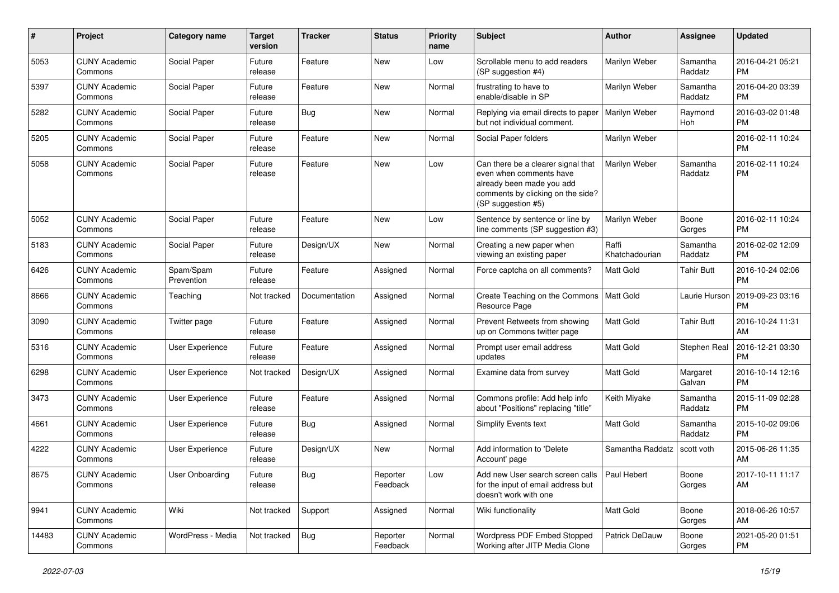| #     | Project                         | <b>Category name</b>    | <b>Target</b><br>version | <b>Tracker</b> | <b>Status</b>        | <b>Priority</b><br>name | <b>Subject</b>                                                                                                                                        | <b>Author</b>           | <b>Assignee</b>     | <b>Updated</b>                |
|-------|---------------------------------|-------------------------|--------------------------|----------------|----------------------|-------------------------|-------------------------------------------------------------------------------------------------------------------------------------------------------|-------------------------|---------------------|-------------------------------|
| 5053  | <b>CUNY Academic</b><br>Commons | Social Paper            | Future<br>release        | Feature        | New                  | Low                     | Scrollable menu to add readers<br>(SP suggestion #4)                                                                                                  | Marilyn Weber           | Samantha<br>Raddatz | 2016-04-21 05:21<br><b>PM</b> |
| 5397  | <b>CUNY Academic</b><br>Commons | Social Paper            | Future<br>release        | Feature        | New                  | Normal                  | frustrating to have to<br>enable/disable in SP                                                                                                        | Marilyn Weber           | Samantha<br>Raddatz | 2016-04-20 03:39<br><b>PM</b> |
| 5282  | <b>CUNY Academic</b><br>Commons | Social Paper            | Future<br>release        | Bug            | New                  | Normal                  | Replying via email directs to paper<br>but not individual comment.                                                                                    | Marilyn Weber           | Raymond<br>Hoh      | 2016-03-02 01:48<br><b>PM</b> |
| 5205  | <b>CUNY Academic</b><br>Commons | Social Paper            | Future<br>release        | Feature        | New                  | Normal                  | Social Paper folders                                                                                                                                  | Marilyn Weber           |                     | 2016-02-11 10:24<br><b>PM</b> |
| 5058  | <b>CUNY Academic</b><br>Commons | Social Paper            | Future<br>release        | Feature        | <b>New</b>           | Low                     | Can there be a clearer signal that<br>even when comments have<br>already been made you add<br>comments by clicking on the side?<br>(SP suggestion #5) | Marilyn Weber           | Samantha<br>Raddatz | 2016-02-11 10:24<br><b>PM</b> |
| 5052  | <b>CUNY Academic</b><br>Commons | Social Paper            | Future<br>release        | Feature        | New                  | Low                     | Sentence by sentence or line by<br>line comments (SP suggestion #3)                                                                                   | Marilyn Weber           | Boone<br>Gorges     | 2016-02-11 10:24<br><b>PM</b> |
| 5183  | <b>CUNY Academic</b><br>Commons | Social Paper            | Future<br>release        | Design/UX      | <b>New</b>           | Normal                  | Creating a new paper when<br>viewing an existing paper                                                                                                | Raffi<br>Khatchadourian | Samantha<br>Raddatz | 2016-02-02 12:09<br><b>PM</b> |
| 6426  | <b>CUNY Academic</b><br>Commons | Spam/Spam<br>Prevention | Future<br>release        | Feature        | Assigned             | Normal                  | Force captcha on all comments?                                                                                                                        | Matt Gold               | <b>Tahir Butt</b>   | 2016-10-24 02:06<br><b>PM</b> |
| 8666  | <b>CUNY Academic</b><br>Commons | Teaching                | Not tracked              | Documentation  | Assigned             | Normal                  | Create Teaching on the Commons<br>Resource Page                                                                                                       | <b>Matt Gold</b>        | Laurie Hurson       | 2019-09-23 03:16<br><b>PM</b> |
| 3090  | <b>CUNY Academic</b><br>Commons | Twitter page            | Future<br>release        | Feature        | Assigned             | Normal                  | Prevent Retweets from showing<br>up on Commons twitter page                                                                                           | Matt Gold               | <b>Tahir Butt</b>   | 2016-10-24 11:31<br>AM        |
| 5316  | <b>CUNY Academic</b><br>Commons | <b>User Experience</b>  | Future<br>release        | Feature        | Assigned             | Normal                  | Prompt user email address<br>updates                                                                                                                  | Matt Gold               | Stephen Real        | 2016-12-21 03:30<br><b>PM</b> |
| 6298  | <b>CUNY Academic</b><br>Commons | User Experience         | Not tracked              | Design/UX      | Assigned             | Normal                  | Examine data from survey                                                                                                                              | Matt Gold               | Margaret<br>Galvan  | 2016-10-14 12:16<br><b>PM</b> |
| 3473  | <b>CUNY Academic</b><br>Commons | <b>User Experience</b>  | Future<br>release        | Feature        | Assigned             | Normal                  | Commons profile: Add help info<br>about "Positions" replacing "title"                                                                                 | Keith Miyake            | Samantha<br>Raddatz | 2015-11-09 02:28<br><b>PM</b> |
| 4661  | <b>CUNY Academic</b><br>Commons | User Experience         | Future<br>release        | Bug            | Assigned             | Normal                  | Simplify Events text                                                                                                                                  | Matt Gold               | Samantha<br>Raddatz | 2015-10-02 09:06<br><b>PM</b> |
| 4222  | <b>CUNY Academic</b><br>Commons | <b>User Experience</b>  | Future<br>release        | Design/UX      | New                  | Normal                  | Add information to 'Delete<br>Account' page                                                                                                           | Samantha Raddatz        | scott voth          | 2015-06-26 11:35<br>AM        |
| 8675  | <b>CUNY Academic</b><br>Commons | User Onboarding         | Future<br>release        | <b>Bug</b>     | Reporter<br>Feedback | Low                     | Add new User search screen calls   Paul Hebert<br>for the input of email address but<br>doesn't work with one                                         |                         | Boone<br>Gorges     | 2017-10-11 11:17<br>AM        |
| 9941  | <b>CUNY Academic</b><br>Commons | Wiki                    | Not tracked              | Support        | Assigned             | Normal                  | Wiki functionality                                                                                                                                    | Matt Gold               | Boone<br>Gorges     | 2018-06-26 10:57<br>AM        |
| 14483 | <b>CUNY Academic</b><br>Commons | WordPress - Media       | Not tracked              | Bug            | Reporter<br>Feedback | Normal                  | Wordpress PDF Embed Stopped<br>Working after JITP Media Clone                                                                                         | Patrick DeDauw          | Boone<br>Gorges     | 2021-05-20 01:51<br><b>PM</b> |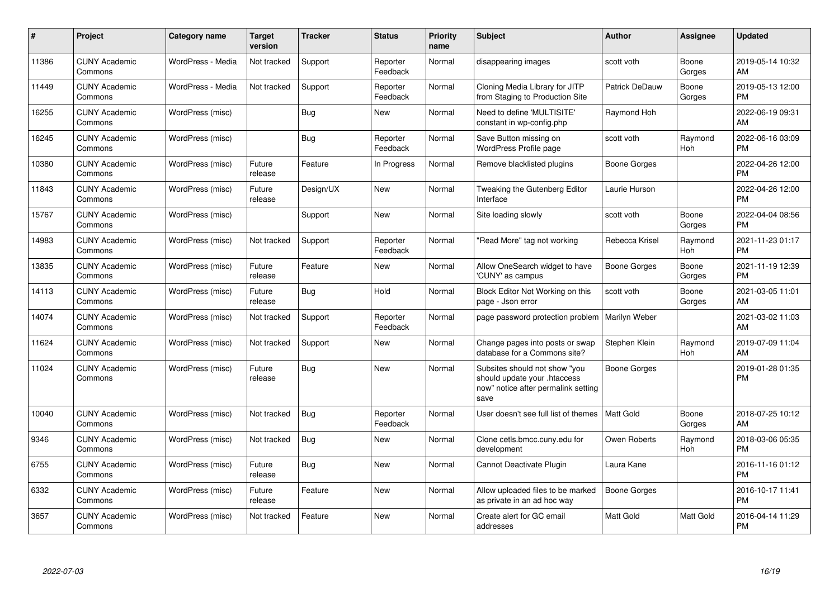| #     | Project                         | <b>Category name</b> | <b>Target</b><br>version | <b>Tracker</b> | <b>Status</b>        | Priority<br>name | <b>Subject</b>                                                                                               | <b>Author</b>       | <b>Assignee</b> | <b>Updated</b>                |
|-------|---------------------------------|----------------------|--------------------------|----------------|----------------------|------------------|--------------------------------------------------------------------------------------------------------------|---------------------|-----------------|-------------------------------|
| 11386 | <b>CUNY Academic</b><br>Commons | WordPress - Media    | Not tracked              | Support        | Reporter<br>Feedback | Normal           | disappearing images                                                                                          | scott voth          | Boone<br>Gorges | 2019-05-14 10:32<br>AM        |
| 11449 | <b>CUNY Academic</b><br>Commons | WordPress - Media    | Not tracked              | Support        | Reporter<br>Feedback | Normal           | Cloning Media Library for JITP<br>from Staging to Production Site                                            | Patrick DeDauw      | Boone<br>Gorges | 2019-05-13 12:00<br>PM        |
| 16255 | <b>CUNY Academic</b><br>Commons | WordPress (misc)     |                          | Bug            | New                  | Normal           | Need to define 'MULTISITE'<br>constant in wp-config.php                                                      | Raymond Hoh         |                 | 2022-06-19 09:31<br>AM        |
| 16245 | <b>CUNY Academic</b><br>Commons | WordPress (misc)     |                          | <b>Bug</b>     | Reporter<br>Feedback | Normal           | Save Button missing on<br><b>WordPress Profile page</b>                                                      | scott voth          | Raymond<br>Hoh  | 2022-06-16 03:09<br><b>PM</b> |
| 10380 | <b>CUNY Academic</b><br>Commons | WordPress (misc)     | Future<br>release        | Feature        | In Progress          | Normal           | Remove blacklisted plugins                                                                                   | Boone Gorges        |                 | 2022-04-26 12:00<br><b>PM</b> |
| 11843 | <b>CUNY Academic</b><br>Commons | WordPress (misc)     | Future<br>release        | Design/UX      | <b>New</b>           | Normal           | Tweaking the Gutenberg Editor<br>Interface                                                                   | Laurie Hurson       |                 | 2022-04-26 12:00<br><b>PM</b> |
| 15767 | <b>CUNY Academic</b><br>Commons | WordPress (misc)     |                          | Support        | <b>New</b>           | Normal           | Site loading slowly                                                                                          | scott voth          | Boone<br>Gorges | 2022-04-04 08:56<br><b>PM</b> |
| 14983 | <b>CUNY Academic</b><br>Commons | WordPress (misc)     | Not tracked              | Support        | Reporter<br>Feedback | Normal           | "Read More" tag not working                                                                                  | Rebecca Krisel      | Raymond<br>Hoh  | 2021-11-23 01:17<br><b>PM</b> |
| 13835 | <b>CUNY Academic</b><br>Commons | WordPress (misc)     | Future<br>release        | Feature        | <b>New</b>           | Normal           | Allow OneSearch widget to have<br>'CUNY' as campus                                                           | Boone Gorges        | Boone<br>Gorges | 2021-11-19 12:39<br><b>PM</b> |
| 14113 | <b>CUNY Academic</b><br>Commons | WordPress (misc)     | Future<br>release        | Bug            | Hold                 | Normal           | Block Editor Not Working on this<br>page - Json error                                                        | scott voth          | Boone<br>Gorges | 2021-03-05 11:01<br>AM        |
| 14074 | <b>CUNY Academic</b><br>Commons | WordPress (misc)     | Not tracked              | Support        | Reporter<br>Feedback | Normal           | page password protection problem                                                                             | Marilyn Weber       |                 | 2021-03-02 11:03<br>AM        |
| 11624 | <b>CUNY Academic</b><br>Commons | WordPress (misc)     | Not tracked              | Support        | New                  | Normal           | Change pages into posts or swap<br>database for a Commons site?                                              | Stephen Klein       | Raymond<br>Hoh  | 2019-07-09 11:04<br>AM        |
| 11024 | <b>CUNY Academic</b><br>Commons | WordPress (misc)     | Future<br>release        | Bug            | New                  | Normal           | Subsites should not show "you<br>should update your .htaccess<br>now" notice after permalink setting<br>save | Boone Gorges        |                 | 2019-01-28 01:35<br><b>PM</b> |
| 10040 | <b>CUNY Academic</b><br>Commons | WordPress (misc)     | Not tracked              | Bug            | Reporter<br>Feedback | Normal           | User doesn't see full list of themes                                                                         | <b>Matt Gold</b>    | Boone<br>Gorges | 2018-07-25 10:12<br>AM        |
| 9346  | <b>CUNY Academic</b><br>Commons | WordPress (misc)     | Not tracked              | Bug            | New                  | Normal           | Clone cetls.bmcc.cuny.edu for<br>development                                                                 | Owen Roberts        | Raymond<br>Hoh  | 2018-03-06 05:35<br><b>PM</b> |
| 6755  | <b>CUNY Academic</b><br>Commons | WordPress (misc)     | Future<br>release        | Bug            | New                  | Normal           | Cannot Deactivate Plugin                                                                                     | Laura Kane          |                 | 2016-11-16 01:12<br><b>PM</b> |
| 6332  | <b>CUNY Academic</b><br>Commons | WordPress (misc)     | Future<br>release        | Feature        | <b>New</b>           | Normal           | Allow uploaded files to be marked<br>as private in an ad hoc way                                             | <b>Boone Gorges</b> |                 | 2016-10-17 11:41<br><b>PM</b> |
| 3657  | <b>CUNY Academic</b><br>Commons | WordPress (misc)     | Not tracked              | Feature        | <b>New</b>           | Normal           | Create alert for GC email<br>addresses                                                                       | <b>Matt Gold</b>    | Matt Gold       | 2016-04-14 11:29<br>PM        |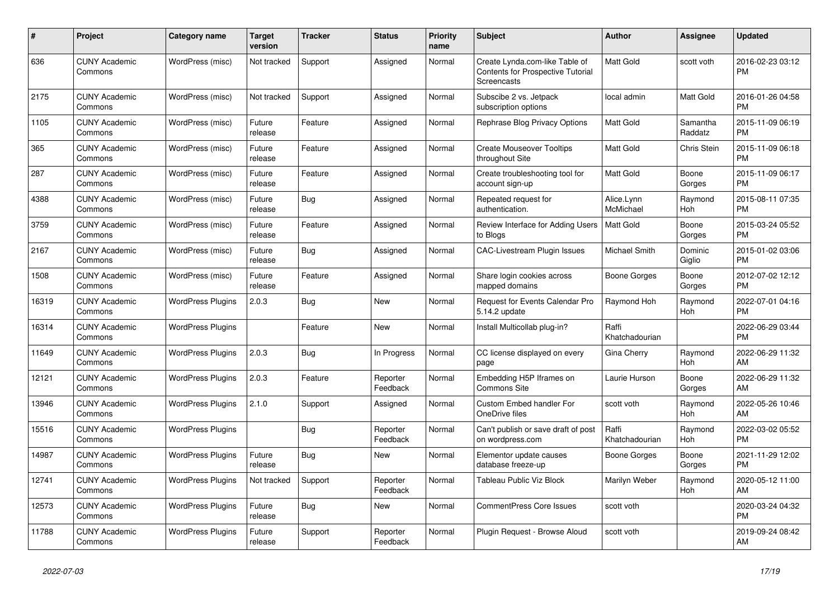| #     | Project                         | <b>Category name</b>     | <b>Target</b><br>version | <b>Tracker</b> | <b>Status</b>        | <b>Priority</b><br>name | <b>Subject</b>                                                                            | <b>Author</b>           | <b>Assignee</b>     | <b>Updated</b>                |
|-------|---------------------------------|--------------------------|--------------------------|----------------|----------------------|-------------------------|-------------------------------------------------------------------------------------------|-------------------------|---------------------|-------------------------------|
| 636   | <b>CUNY Academic</b><br>Commons | WordPress (misc)         | Not tracked              | Support        | Assigned             | Normal                  | Create Lynda.com-like Table of<br><b>Contents for Prospective Tutorial</b><br>Screencasts | <b>Matt Gold</b>        | scott voth          | 2016-02-23 03:12<br><b>PM</b> |
| 2175  | <b>CUNY Academic</b><br>Commons | WordPress (misc)         | Not tracked              | Support        | Assigned             | Normal                  | Subscibe 2 vs. Jetpack<br>subscription options                                            | local admin             | Matt Gold           | 2016-01-26 04:58<br><b>PM</b> |
| 1105  | <b>CUNY Academic</b><br>Commons | WordPress (misc)         | Future<br>release        | Feature        | Assigned             | Normal                  | Rephrase Blog Privacy Options                                                             | <b>Matt Gold</b>        | Samantha<br>Raddatz | 2015-11-09 06:19<br><b>PM</b> |
| 365   | <b>CUNY Academic</b><br>Commons | WordPress (misc)         | Future<br>release        | Feature        | Assigned             | Normal                  | <b>Create Mouseover Tooltips</b><br>throughout Site                                       | <b>Matt Gold</b>        | <b>Chris Stein</b>  | 2015-11-09 06:18<br><b>PM</b> |
| 287   | <b>CUNY Academic</b><br>Commons | WordPress (misc)         | Future<br>release        | Feature        | Assigned             | Normal                  | Create troubleshooting tool for<br>account sign-up                                        | <b>Matt Gold</b>        | Boone<br>Gorges     | 2015-11-09 06:17<br><b>PM</b> |
| 4388  | <b>CUNY Academic</b><br>Commons | WordPress (misc)         | Future<br>release        | <b>Bug</b>     | Assigned             | Normal                  | Repeated request for<br>authentication.                                                   | Alice.Lynn<br>McMichael | Raymond<br>Hoh      | 2015-08-11 07:35<br><b>PM</b> |
| 3759  | <b>CUNY Academic</b><br>Commons | WordPress (misc)         | Future<br>release        | Feature        | Assigned             | Normal                  | Review Interface for Adding Users<br>to Blogs                                             | <b>Matt Gold</b>        | Boone<br>Gorges     | 2015-03-24 05:52<br><b>PM</b> |
| 2167  | <b>CUNY Academic</b><br>Commons | WordPress (misc)         | Future<br>release        | Bug            | Assigned             | Normal                  | CAC-Livestream Plugin Issues                                                              | Michael Smith           | Dominic<br>Giglio   | 2015-01-02 03:06<br><b>PM</b> |
| 1508  | <b>CUNY Academic</b><br>Commons | WordPress (misc)         | Future<br>release        | Feature        | Assigned             | Normal                  | Share login cookies across<br>mapped domains                                              | Boone Gorges            | Boone<br>Gorges     | 2012-07-02 12:12<br><b>PM</b> |
| 16319 | <b>CUNY Academic</b><br>Commons | <b>WordPress Plugins</b> | 2.0.3                    | <b>Bug</b>     | New                  | Normal                  | Request for Events Calendar Pro<br>5.14.2 update                                          | Raymond Hoh             | Raymond<br>Hoh      | 2022-07-01 04:16<br><b>PM</b> |
| 16314 | <b>CUNY Academic</b><br>Commons | <b>WordPress Plugins</b> |                          | Feature        | New                  | Normal                  | Install Multicollab plug-in?                                                              | Raffi<br>Khatchadourian |                     | 2022-06-29 03:44<br><b>PM</b> |
| 11649 | <b>CUNY Academic</b><br>Commons | <b>WordPress Plugins</b> | 2.0.3                    | Bug            | In Progress          | Normal                  | CC license displayed on every<br>page                                                     | Gina Cherry             | Raymond<br>Hoh      | 2022-06-29 11:32<br>AM        |
| 12121 | <b>CUNY Academic</b><br>Commons | <b>WordPress Plugins</b> | 2.0.3                    | Feature        | Reporter<br>Feedback | Normal                  | Embedding H5P Iframes on<br><b>Commons Site</b>                                           | Laurie Hurson           | Boone<br>Gorges     | 2022-06-29 11:32<br>AM        |
| 13946 | <b>CUNY Academic</b><br>Commons | <b>WordPress Plugins</b> | 2.1.0                    | Support        | Assigned             | Normal                  | <b>Custom Embed handler For</b><br>OneDrive files                                         | scott voth              | Raymond<br>Hoh      | 2022-05-26 10:46<br>AM        |
| 15516 | <b>CUNY Academic</b><br>Commons | <b>WordPress Plugins</b> |                          | <b>Bug</b>     | Reporter<br>Feedback | Normal                  | Can't publish or save draft of post<br>on wordpress.com                                   | Raffi<br>Khatchadourian | Raymond<br>Hoh      | 2022-03-02 05:52<br><b>PM</b> |
| 14987 | <b>CUNY Academic</b><br>Commons | <b>WordPress Plugins</b> | Future<br>release        | <b>Bug</b>     | <b>New</b>           | Normal                  | Elementor update causes<br>database freeze-up                                             | Boone Gorges            | Boone<br>Gorges     | 2021-11-29 12:02<br><b>PM</b> |
| 12741 | <b>CUNY Academic</b><br>Commons | <b>WordPress Plugins</b> | Not tracked              | Support        | Reporter<br>Feedback | Normal                  | Tableau Public Viz Block                                                                  | Marilyn Weber           | Raymond<br>Hoh      | 2020-05-12 11:00<br>AM        |
| 12573 | <b>CUNY Academic</b><br>Commons | <b>WordPress Plugins</b> | Future<br>release        | Bug            | New                  | Normal                  | <b>CommentPress Core Issues</b>                                                           | scott voth              |                     | 2020-03-24 04:32<br><b>PM</b> |
| 11788 | <b>CUNY Academic</b><br>Commons | <b>WordPress Plugins</b> | Future<br>release        | Support        | Reporter<br>Feedback | Normal                  | Plugin Request - Browse Aloud                                                             | scott voth              |                     | 2019-09-24 08:42<br>AM        |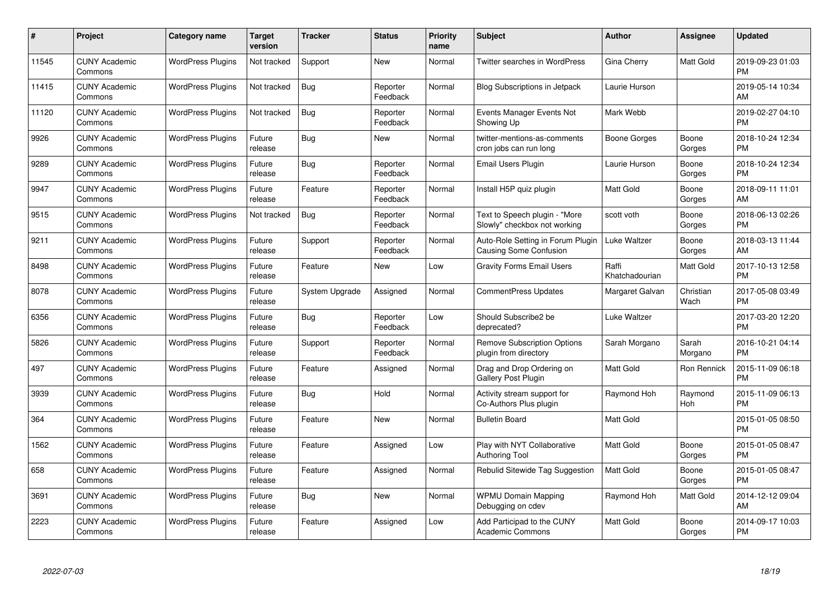| #     | Project                         | <b>Category name</b>     | <b>Target</b><br>version | <b>Tracker</b> | <b>Status</b>        | <b>Priority</b><br>name | <b>Subject</b>                                                | <b>Author</b>           | Assignee          | <b>Updated</b>                |
|-------|---------------------------------|--------------------------|--------------------------|----------------|----------------------|-------------------------|---------------------------------------------------------------|-------------------------|-------------------|-------------------------------|
| 11545 | <b>CUNY Academic</b><br>Commons | <b>WordPress Plugins</b> | Not tracked              | Support        | <b>New</b>           | Normal                  | <b>Twitter searches in WordPress</b>                          | Gina Cherry             | Matt Gold         | 2019-09-23 01:03<br><b>PM</b> |
| 11415 | <b>CUNY Academic</b><br>Commons | <b>WordPress Plugins</b> | Not tracked              | Bug            | Reporter<br>Feedback | Normal                  | <b>Blog Subscriptions in Jetpack</b>                          | Laurie Hurson           |                   | 2019-05-14 10:34<br>AM        |
| 11120 | <b>CUNY Academic</b><br>Commons | <b>WordPress Plugins</b> | Not tracked              | <b>Bug</b>     | Reporter<br>Feedback | Normal                  | <b>Events Manager Events Not</b><br>Showing Up                | Mark Webb               |                   | 2019-02-27 04:10<br><b>PM</b> |
| 9926  | <b>CUNY Academic</b><br>Commons | <b>WordPress Plugins</b> | Future<br>release        | Bug            | New                  | Normal                  | twitter-mentions-as-comments<br>cron jobs can run long        | Boone Gorges            | Boone<br>Gorges   | 2018-10-24 12:34<br><b>PM</b> |
| 9289  | <b>CUNY Academic</b><br>Commons | <b>WordPress Plugins</b> | Future<br>release        | <b>Bug</b>     | Reporter<br>Feedback | Normal                  | Email Users Plugin                                            | Laurie Hurson           | Boone<br>Gorges   | 2018-10-24 12:34<br><b>PM</b> |
| 9947  | <b>CUNY Academic</b><br>Commons | <b>WordPress Plugins</b> | Future<br>release        | Feature        | Reporter<br>Feedback | Normal                  | Install H5P quiz plugin                                       | <b>Matt Gold</b>        | Boone<br>Gorges   | 2018-09-11 11:01<br>AM        |
| 9515  | <b>CUNY Academic</b><br>Commons | <b>WordPress Plugins</b> | Not tracked              | <b>Bug</b>     | Reporter<br>Feedback | Normal                  | Text to Speech plugin - "More<br>Slowly" checkbox not working | scott voth              | Boone<br>Gorges   | 2018-06-13 02:26<br><b>PM</b> |
| 9211  | <b>CUNY Academic</b><br>Commons | <b>WordPress Plugins</b> | Future<br>release        | Support        | Reporter<br>Feedback | Normal                  | Auto-Role Setting in Forum Plugin<br>Causing Some Confusion   | Luke Waltzer            | Boone<br>Gorges   | 2018-03-13 11:44<br>AM        |
| 8498  | <b>CUNY Academic</b><br>Commons | <b>WordPress Plugins</b> | Future<br>release        | Feature        | New                  | Low                     | Gravity Forms Email Users                                     | Raffi<br>Khatchadourian | Matt Gold         | 2017-10-13 12:58<br><b>PM</b> |
| 8078  | <b>CUNY Academic</b><br>Commons | <b>WordPress Plugins</b> | Future<br>release        | System Upgrade | Assigned             | Normal                  | CommentPress Updates                                          | Margaret Galvan         | Christian<br>Wach | 2017-05-08 03:49<br><b>PM</b> |
| 6356  | <b>CUNY Academic</b><br>Commons | <b>WordPress Plugins</b> | Future<br>release        | <b>Bug</b>     | Reporter<br>Feedback | Low                     | Should Subscribe2 be<br>deprecated?                           | Luke Waltzer            |                   | 2017-03-20 12:20<br><b>PM</b> |
| 5826  | <b>CUNY Academic</b><br>Commons | <b>WordPress Plugins</b> | Future<br>release        | Support        | Reporter<br>Feedback | Normal                  | <b>Remove Subscription Options</b><br>plugin from directory   | Sarah Morgano           | Sarah<br>Morgano  | 2016-10-21 04:14<br><b>PM</b> |
| 497   | <b>CUNY Academic</b><br>Commons | <b>WordPress Plugins</b> | Future<br>release        | Feature        | Assigned             | Normal                  | Drag and Drop Ordering on<br>Gallery Post Plugin              | <b>Matt Gold</b>        | Ron Rennick       | 2015-11-09 06:18<br><b>PM</b> |
| 3939  | <b>CUNY Academic</b><br>Commons | <b>WordPress Plugins</b> | Future<br>release        | Bug            | Hold                 | Normal                  | Activity stream support for<br>Co-Authors Plus plugin         | Raymond Hoh             | Raymond<br>Hoh    | 2015-11-09 06:13<br><b>PM</b> |
| 364   | <b>CUNY Academic</b><br>Commons | <b>WordPress Plugins</b> | Future<br>release        | Feature        | New                  | Normal                  | <b>Bulletin Board</b>                                         | Matt Gold               |                   | 2015-01-05 08:50<br><b>PM</b> |
| 1562  | <b>CUNY Academic</b><br>Commons | <b>WordPress Plugins</b> | Future<br>release        | Feature        | Assigned             | Low                     | Play with NYT Collaborative<br>Authoring Tool                 | Matt Gold               | Boone<br>Gorges   | 2015-01-05 08:47<br><b>PM</b> |
| 658   | <b>CUNY Academic</b><br>Commons | <b>WordPress Plugins</b> | Future<br>release        | Feature        | Assigned             | Normal                  | Rebulid Sitewide Tag Suggestion                               | <b>Matt Gold</b>        | Boone<br>Gorges   | 2015-01-05 08:47<br><b>PM</b> |
| 3691  | <b>CUNY Academic</b><br>Commons | <b>WordPress Plugins</b> | Future<br>release        | Bug            | New                  | Normal                  | <b>WPMU Domain Mapping</b><br>Debugging on cdev               | Raymond Hoh             | Matt Gold         | 2014-12-12 09:04<br>AM        |
| 2223  | <b>CUNY Academic</b><br>Commons | <b>WordPress Plugins</b> | Future<br>release        | Feature        | Assigned             | Low                     | Add Participad to the CUNY<br>Academic Commons                | Matt Gold               | Boone<br>Gorges   | 2014-09-17 10:03<br>PM        |